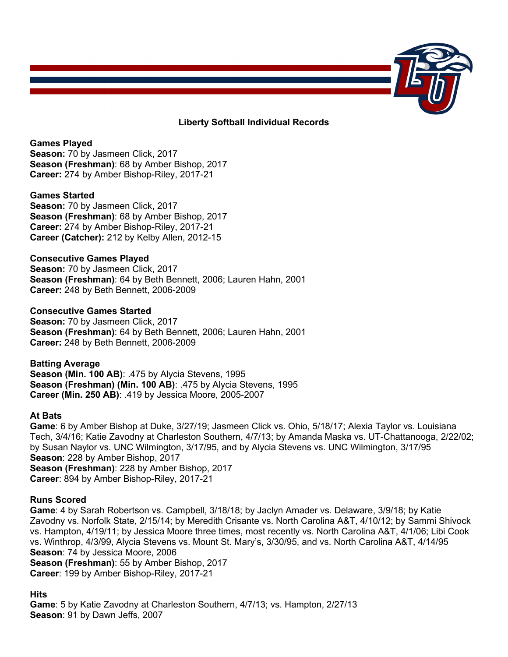

# **Liberty Softball Individual Records**

# **Games Played**

**Season:** 70 by Jasmeen Click, 2017 **Season (Freshman)**: 68 by Amber Bishop, 2017 **Career:** 274 by Amber Bishop-Riley, 2017-21

# **Games Started**

**Season:** 70 by Jasmeen Click, 2017 **Season (Freshman)**: 68 by Amber Bishop, 2017 **Career:** 274 by Amber Bishop-Riley, 2017-21 **Career (Catcher):** 212 by Kelby Allen, 2012-15

# **Consecutive Games Played**

**Season:** 70 by Jasmeen Click, 2017 **Season (Freshman)**: 64 by Beth Bennett, 2006; Lauren Hahn, 2001 **Career:** 248 by Beth Bennett, 2006-2009

# **Consecutive Games Started**

**Season:** 70 by Jasmeen Click, 2017 **Season (Freshman)**: 64 by Beth Bennett, 2006; Lauren Hahn, 2001 **Career:** 248 by Beth Bennett, 2006-2009

#### **Batting Average**

**Season (Min. 100 AB)**: .475 by Alycia Stevens, 1995 **Season (Freshman) (Min. 100 AB)**: .475 by Alycia Stevens, 1995 **Career (Min. 250 AB)**: .419 by Jessica Moore, 2005-2007

#### **At Bats**

**Game**: 6 by Amber Bishop at Duke, 3/27/19; Jasmeen Click vs. Ohio, 5/18/17; Alexia Taylor vs. Louisiana Tech, 3/4/16; Katie Zavodny at Charleston Southern, 4/7/13; by Amanda Maska vs. UT-Chattanooga, 2/22/02; by Susan Naylor vs. UNC Wilmington, 3/17/95, and by Alycia Stevens vs. UNC Wilmington, 3/17/95 **Season**: 228 by Amber Bishop, 2017 **Season (Freshman)**: 228 by Amber Bishop, 2017 **Career**: 894 by Amber Bishop-Riley, 2017-21

# **Runs Scored**

**Game**: 4 by Sarah Robertson vs. Campbell, 3/18/18; by Jaclyn Amader vs. Delaware, 3/9/18; by Katie Zavodny vs. Norfolk State, 2/15/14; by Meredith Crisante vs. North Carolina A&T, 4/10/12; by Sammi Shivock vs. Hampton, 4/19/11; by Jessica Moore three times, most recently vs. North Carolina A&T, 4/1/06; Libi Cook vs. Winthrop, 4/3/99, Alycia Stevens vs. Mount St. Mary's, 3/30/95, and vs. North Carolina A&T, 4/14/95 **Season**: 74 by Jessica Moore, 2006 **Season (Freshman)**: 55 by Amber Bishop, 2017 **Career**: 199 by Amber Bishop-Riley, 2017-21

# **Hits**

**Game**: 5 by Katie Zavodny at Charleston Southern, 4/7/13; vs. Hampton, 2/27/13 **Season**: 91 by Dawn Jeffs, 2007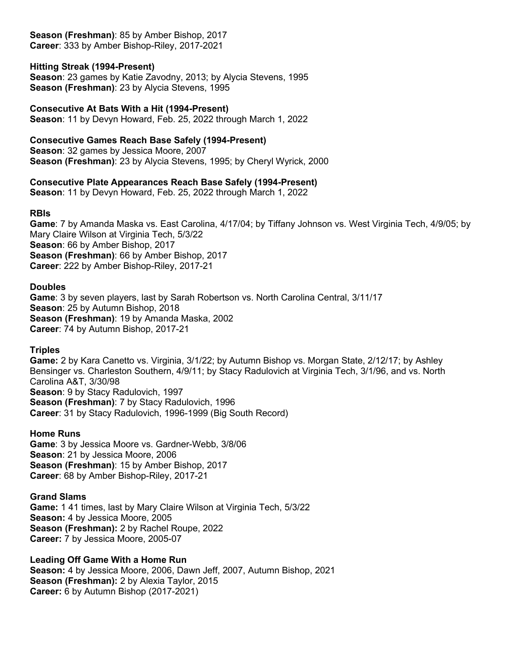**Season (Freshman)**: 85 by Amber Bishop, 2017 **Career**: 333 by Amber Bishop-Riley, 2017-2021

# **Hitting Streak (1994-Present)**

**Season**: 23 games by Katie Zavodny, 2013; by Alycia Stevens, 1995 **Season (Freshman)**: 23 by Alycia Stevens, 1995

# **Consecutive At Bats With a Hit (1994-Present)**

**Season**: 11 by Devyn Howard, Feb. 25, 2022 through March 1, 2022

# **Consecutive Games Reach Base Safely (1994-Present)**

**Season**: 32 games by Jessica Moore, 2007 **Season (Freshman)**: 23 by Alycia Stevens, 1995; by Cheryl Wyrick, 2000

# **Consecutive Plate Appearances Reach Base Safely (1994-Present)**

**Season**: 11 by Devyn Howard, Feb. 25, 2022 through March 1, 2022

#### **RBIs**

**Game**: 7 by Amanda Maska vs. East Carolina, 4/17/04; by Tiffany Johnson vs. West Virginia Tech, 4/9/05; by Mary Claire Wilson at Virginia Tech, 5/3/22 **Season**: 66 by Amber Bishop, 2017 **Season (Freshman)**: 66 by Amber Bishop, 2017 **Career**: 222 by Amber Bishop-Riley, 2017-21

# **Doubles**

**Game**: 3 by seven players, last by Sarah Robertson vs. North Carolina Central, 3/11/17 **Season**: 25 by Autumn Bishop, 2018 **Season (Freshman)**: 19 by Amanda Maska, 2002 **Career**: 74 by Autumn Bishop, 2017-21

# **Triples**

**Game:** 2 by Kara Canetto vs. Virginia, 3/1/22; by Autumn Bishop vs. Morgan State, 2/12/17; by Ashley Bensinger vs. Charleston Southern, 4/9/11; by Stacy Radulovich at Virginia Tech, 3/1/96, and vs. North Carolina A&T, 3/30/98 **Season**: 9 by Stacy Radulovich, 1997 **Season (Freshman)**: 7 by Stacy Radulovich, 1996 **Career**: 31 by Stacy Radulovich, 1996-1999 (Big South Record)

# **Home Runs**

**Game**: 3 by Jessica Moore vs. Gardner-Webb, 3/8/06 **Season**: 21 by Jessica Moore, 2006 **Season (Freshman)**: 15 by Amber Bishop, 2017 **Career**: 68 by Amber Bishop-Riley, 2017-21

#### **Grand Slams**

**Game:** 1 41 times, last by Mary Claire Wilson at Virginia Tech, 5/3/22 **Season:** 4 by Jessica Moore, 2005 **Season (Freshman):** 2 by Rachel Roupe, 2022 **Career:** 7 by Jessica Moore, 2005-07

#### **Leading Off Game With a Home Run**

**Season:** 4 by Jessica Moore, 2006, Dawn Jeff, 2007, Autumn Bishop, 2021 **Season (Freshman):** 2 by Alexia Taylor, 2015 **Career:** 6 by Autumn Bishop (2017-2021)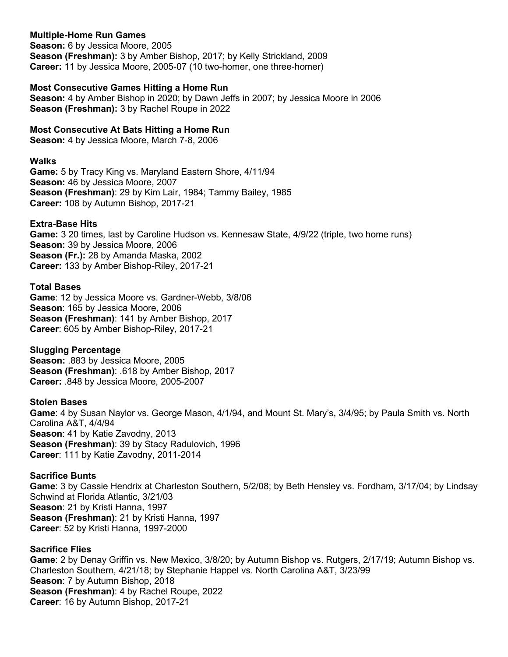# **Multiple-Home Run Games**

**Season:** 6 by Jessica Moore, 2005 **Season (Freshman):** 3 by Amber Bishop, 2017; by Kelly Strickland, 2009 **Career:** 11 by Jessica Moore, 2005-07 (10 two-homer, one three-homer)

# **Most Consecutive Games Hitting a Home Run**

**Season:** 4 by Amber Bishop in 2020; by Dawn Jeffs in 2007; by Jessica Moore in 2006 **Season (Freshman):** 3 by Rachel Roupe in 2022

# **Most Consecutive At Bats Hitting a Home Run**

**Season:** 4 by Jessica Moore, March 7-8, 2006

### **Walks**

**Game:** 5 by Tracy King vs. Maryland Eastern Shore, 4/11/94 **Season:** 46 by Jessica Moore, 2007 **Season (Freshman)**: 29 by Kim Lair, 1984; Tammy Bailey, 1985 **Career:** 108 by Autumn Bishop, 2017-21

# **Extra-Base Hits**

**Game:** 3 20 times, last by Caroline Hudson vs. Kennesaw State, 4/9/22 (triple, two home runs) **Season:** 39 by Jessica Moore, 2006 **Season (Fr.):** 28 by Amanda Maska, 2002 **Career:** 133 by Amber Bishop-Riley, 2017-21

# **Total Bases**

**Game**: 12 by Jessica Moore vs. Gardner-Webb, 3/8/06 **Season**: 165 by Jessica Moore, 2006 **Season (Freshman)**: 141 by Amber Bishop, 2017 **Career**: 605 by Amber Bishop-Riley, 2017-21

#### **Slugging Percentage**

**Season:** .883 by Jessica Moore, 2005 **Season (Freshman)**: .618 by Amber Bishop, 2017 **Career:** .848 by Jessica Moore, 2005-2007

# **Stolen Bases**

**Game**: 4 by Susan Naylor vs. George Mason, 4/1/94, and Mount St. Mary's, 3/4/95; by Paula Smith vs. North Carolina A&T, 4/4/94 **Season**: 41 by Katie Zavodny, 2013 **Season (Freshman)**: 39 by Stacy Radulovich, 1996 **Career**: 111 by Katie Zavodny, 2011-2014

### **Sacrifice Bunts**

**Game**: 3 by Cassie Hendrix at Charleston Southern, 5/2/08; by Beth Hensley vs. Fordham, 3/17/04; by Lindsay Schwind at Florida Atlantic, 3/21/03 **Season**: 21 by Kristi Hanna, 1997 **Season (Freshman)**: 21 by Kristi Hanna, 1997 **Career**: 52 by Kristi Hanna, 1997-2000

# **Sacrifice Flies**

**Game**: 2 by Denay Griffin vs. New Mexico, 3/8/20; by Autumn Bishop vs. Rutgers, 2/17/19; Autumn Bishop vs. Charleston Southern, 4/21/18; by Stephanie Happel vs. North Carolina A&T, 3/23/99 **Season**: 7 by Autumn Bishop, 2018 **Season (Freshman)**: 4 by Rachel Roupe, 2022 **Career**: 16 by Autumn Bishop, 2017-21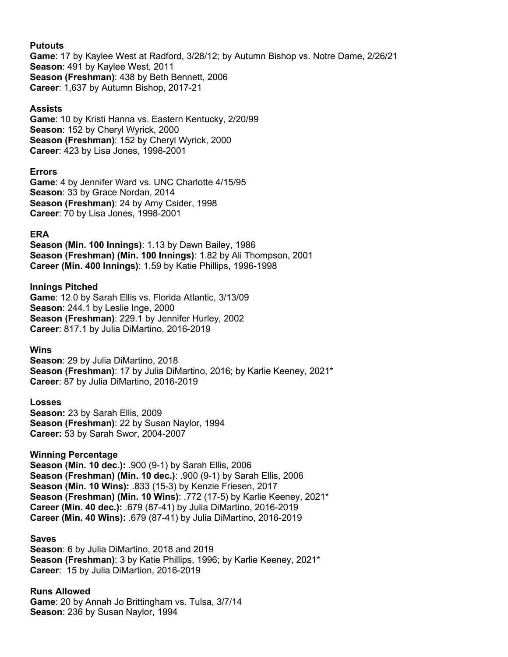### **Putouts**

**Game**: 17 by Kaylee West at Radford, 3/28/12; by Autumn Bishop vs. Notre Dame, 2/26/21 **Season**: 491 by Kaylee West, 2011 **Season (Freshman)**: 438 by Beth Bennett, 2006 **Career**: 1,637 by Autumn Bishop, 2017-21

# **Assists**

**Game**: 10 by Kristi Hanna vs. Eastern Kentucky, 2/20/99 **Season**: 152 by Cheryl Wyrick, 2000 **Season (Freshman)**: 152 by Cheryl Wyrick, 2000 **Career**: 423 by Lisa Jones, 1998-2001

# **Errors**

**Game**: 4 by Jennifer Ward vs. UNC Charlotte 4/15/95 **Season**: 33 by Grace Nordan, 2014 **Season (Freshman)**: 24 by Amy Csider, 1998 **Career**: 70 by Lisa Jones, 1998-2001

# **ERA**

**Season (Min. 100 Innings)**: 1.13 by Dawn Bailey, 1986 **Season (Freshman) (Min. 100 Innings)**: 1.82 by Ali Thompson, 2001 **Career (Min. 400 Innings)**: 1.59 by Katie Phillips, 1996-1998

# **Innings Pitched**

**Game**: 12.0 by Sarah Ellis vs. Florida Atlantic, 3/13/09 **Season**: 244.1 by Leslie Inge, 2000 **Season (Freshman)**: 229.1 by Jennifer Hurley, 2002 **Career**: 817.1 by Julia DiMartino, 2016-2019

# **Wins**

**Season**: 29 by Julia DiMartino, 2018 **Season (Freshman)**: 17 by Julia DiMartino, 2016; by Karlie Keeney, 2021\* **Career**: 87 by Julia DiMartino, 2016-2019

# **Losses**

**Season:** 23 by Sarah Ellis, 2009 **Season (Freshman)**: 22 by Susan Naylor, 1994 **Career:** 53 by Sarah Swor, 2004-2007

# **Winning Percentage**

**Season (Min. 10 dec.):** .900 (9-1) by Sarah Ellis, 2006 **Season (Freshman) (Min. 10 dec.)**: .900 (9-1) by Sarah Ellis, 2006 **Season (Min. 10 Wins):** .833 (15-3) by Kenzie Friesen, 2017 **Season (Freshman) (Min. 10 Wins)**: .772 (17-5) by Karlie Keeney, 2021\* **Career (Min. 40 dec.):** .679 (87-41) by Julia DiMartino, 2016-2019 **Career (Min. 40 Wins):** .679 (87-41) by Julia DiMartino, 2016-2019

#### **Saves**

**Season**: 6 by Julia DiMartino, 2018 and 2019 **Season (Freshman)**: 3 by Katie Phillips, 1996; by Karlie Keeney, 2021\* **Career**: 15 by Julia DiMartion, 2016-2019

#### **Runs Allowed**

**Game**: 20 by Annah Jo Brittingham vs. Tulsa, 3/7/14 **Season**: 236 by Susan Naylor, 1994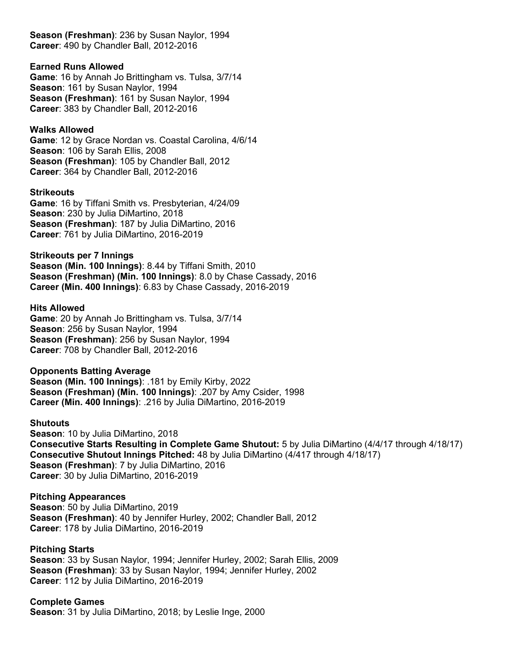**Season (Freshman)**: 236 by Susan Naylor, 1994 **Career**: 490 by Chandler Ball, 2012-2016

### **Earned Runs Allowed**

**Game**: 16 by Annah Jo Brittingham vs. Tulsa, 3/7/14 **Season**: 161 by Susan Naylor, 1994 **Season (Freshman)**: 161 by Susan Naylor, 1994 **Career**: 383 by Chandler Ball, 2012-2016

# **Walks Allowed**

**Game**: 12 by Grace Nordan vs. Coastal Carolina, 4/6/14 **Season**: 106 by Sarah Ellis, 2008 **Season (Freshman)**: 105 by Chandler Ball, 2012 **Career**: 364 by Chandler Ball, 2012-2016

#### **Strikeouts**

**Game**: 16 by Tiffani Smith vs. Presbyterian, 4/24/09 **Season**: 230 by Julia DiMartino, 2018 **Season (Freshman)**: 187 by Julia DiMartino, 2016 **Career**: 761 by Julia DiMartino, 2016-2019

**Strikeouts per 7 Innings Season (Min. 100 Innings)**: 8.44 by Tiffani Smith, 2010 **Season (Freshman) (Min. 100 Innings)**: 8.0 by Chase Cassady, 2016 **Career (Min. 400 Innings)**: 6.83 by Chase Cassady, 2016-2019

#### **Hits Allowed**

**Game**: 20 by Annah Jo Brittingham vs. Tulsa, 3/7/14 **Season**: 256 by Susan Naylor, 1994 **Season (Freshman)**: 256 by Susan Naylor, 1994 **Career**: 708 by Chandler Ball, 2012-2016

# **Opponents Batting Average**

**Season (Min. 100 Innings)**: .181 by Emily Kirby, 2022 **Season (Freshman) (Min. 100 Innings)**: .207 by Amy Csider, 1998 **Career (Min. 400 Innings)**: .216 by Julia DiMartino, 2016-2019

#### **Shutouts**

**Season**: 10 by Julia DiMartino, 2018 **Consecutive Starts Resulting in Complete Game Shutout:** 5 by Julia DiMartino (4/4/17 through 4/18/17) **Consecutive Shutout Innings Pitched:** 48 by Julia DiMartino (4/417 through 4/18/17) **Season (Freshman)**: 7 by Julia DiMartino, 2016 **Career**: 30 by Julia DiMartino, 2016-2019

**Pitching Appearances Season**: 50 by Julia DiMartino, 2019 **Season (Freshman)**: 40 by Jennifer Hurley, 2002; Chandler Ball, 2012 **Career**: 178 by Julia DiMartino, 2016-2019

#### **Pitching Starts**

**Season**: 33 by Susan Naylor, 1994; Jennifer Hurley, 2002; Sarah Ellis, 2009 **Season (Freshman)**: 33 by Susan Naylor, 1994; Jennifer Hurley, 2002 **Career**: 112 by Julia DiMartino, 2016-2019

# **Complete Games**

**Season**: 31 by Julia DiMartino, 2018; by Leslie Inge, 2000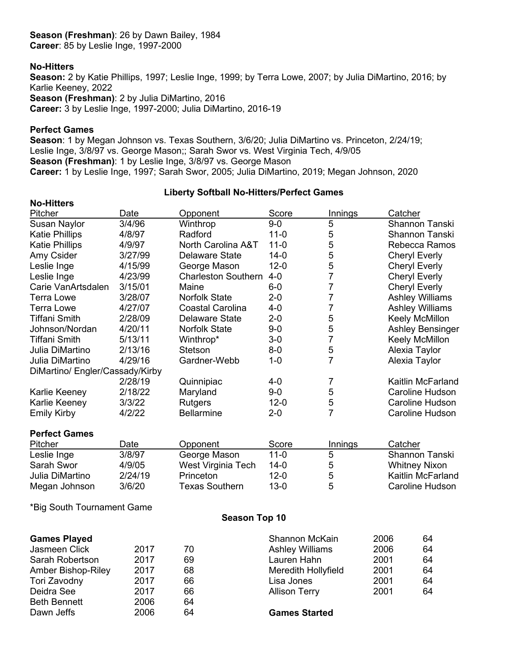#### **Season (Freshman)**: 26 by Dawn Bailey, 1984 **Career**: 85 by Leslie Inge, 1997-2000

# **No-Hitters**

**Season:** 2 by Katie Phillips, 1997; Leslie Inge, 1999; by Terra Lowe, 2007; by Julia DiMartino, 2016; by Karlie Keeney, 2022 **Season (Freshman)**: 2 by Julia DiMartino, 2016 **Career:** 3 by Leslie Inge, 1997-2000; Julia DiMartino, 2016-19

#### **Perfect Games**

**Season**: 1 by Megan Johnson vs. Texas Southern, 3/6/20; Julia DiMartino vs. Princeton, 2/24/19; Leslie Inge, 3/8/97 vs. George Mason;; Sarah Swor vs. West Virginia Tech, 4/9/05 **Season (Freshman)**: 1 by Leslie Inge, 3/8/97 vs. George Mason **Career:** 1 by Leslie Inge, 1997; Sarah Swor, 2005; Julia DiMartino, 2019; Megan Johnson, 2020

# **Liberty Softball No-Hitters/Perfect Games**

| <b>No-Hitters</b>               |         |                               |          |                |                         |
|---------------------------------|---------|-------------------------------|----------|----------------|-------------------------|
| Pitcher                         | Date    | Opponent                      | Score    | <b>Innings</b> | Catcher                 |
| <b>Susan Naylor</b>             | 3/4/96  | Winthrop                      | $9-0$    | 5              | <b>Shannon Tanski</b>   |
| <b>Katie Phillips</b>           | 4/8/97  | Radford                       | $11 - 0$ | 5              | Shannon Tanski          |
| <b>Katie Phillips</b>           | 4/9/97  | <b>North Carolina A&amp;T</b> | $11 - 0$ | 5              | Rebecca Ramos           |
| Amy Csider                      | 3/27/99 | <b>Delaware State</b>         | $14-0$   | 5              | <b>Cheryl Everly</b>    |
| Leslie Inge                     | 4/15/99 | George Mason                  | $12 - 0$ | 5              | <b>Cheryl Everly</b>    |
| Leslie Inge                     | 4/23/99 | <b>Charleston Southern</b>    | $4 - 0$  | 7              | <b>Cheryl Everly</b>    |
| Carie VanArtsdalen              | 3/15/01 | Maine                         | $6-0$    | 7              | <b>Cheryl Everly</b>    |
| <b>Terra Lowe</b>               | 3/28/07 | <b>Norfolk State</b>          | $2 - 0$  | 7              | <b>Ashley Williams</b>  |
| <b>Terra Lowe</b>               | 4/27/07 | <b>Coastal Carolina</b>       | $4 - 0$  | 7              | <b>Ashley Williams</b>  |
| <b>Tiffani Smith</b>            | 2/28/09 | <b>Delaware State</b>         | $2 - 0$  | 5              | Keely McMillon          |
| Johnson/Nordan                  | 4/20/11 | <b>Norfolk State</b>          | $9-0$    | 5              | <b>Ashley Bensinger</b> |
| <b>Tiffani Smith</b>            | 5/13/11 | Winthrop*                     | $3-0$    | $\overline{7}$ | Keely McMillon          |
| Julia DiMartino                 | 2/13/16 | Stetson                       | $8 - 0$  | 5              | Alexia Taylor           |
| Julia DiMartino                 | 4/29/16 | Gardner-Webb                  | $1 - 0$  | $\overline{7}$ | Alexia Taylor           |
| DiMartino/ Engler/Cassady/Kirby |         |                               |          |                |                         |
|                                 | 2/28/19 | Quinnipiac                    | $4 - 0$  | 7              | Kaitlin McFarland       |
| Karlie Keeney                   | 2/18/22 | Maryland                      | $9-0$    | 5              | Caroline Hudson         |
| Karlie Keeney                   | 3/3/22  | <b>Rutgers</b>                | $12 - 0$ | 5              | Caroline Hudson         |
| <b>Emily Kirby</b>              | 4/2/22  | <b>Bellarmine</b>             | $2 - 0$  | $\overline{7}$ | <b>Caroline Hudson</b>  |
| <b>Perfect Games</b>            |         |                               |          |                |                         |
| Pitcher                         | Date    | Opponent                      | Score    | <b>Innings</b> | Catcher                 |
| Leslie Inge                     | 3/8/97  | George Mason                  | $11-0$   | 5              | <b>Shannon Tanski</b>   |
| Sarah Swor                      | 4/9/05  | West Virginia Tech            | $14-0$   | 5              | <b>Whitney Nixon</b>    |
| Julia DiMartino                 | 2/24/19 | Princeton                     | $12 - 0$ | 5              | Kaitlin McFarland       |
| Megan Johnson                   | 3/6/20  | <b>Texas Southern</b>         | $13 - 0$ | 5              | Caroline Hudson         |
| *Big South Tournament Game      |         |                               |          |                |                         |

#### **Season Top 10**

| <b>Games Played</b> |      |    | Shannon McKain         | 2006 | 64 |
|---------------------|------|----|------------------------|------|----|
| Jasmeen Click       | 2017 | 70 | <b>Ashley Williams</b> | 2006 | 64 |
| Sarah Robertson     | 2017 | 69 | Lauren Hahn            | 2001 | 64 |
| Amber Bishop-Riley  | 2017 | 68 | Meredith Hollyfield    | 2001 | 64 |
| Tori Zavodny        | 2017 | 66 | Lisa Jones             | 2001 | 64 |
| Deidra See          | 2017 | 66 | <b>Allison Terry</b>   | 2001 | 64 |
| <b>Beth Bennett</b> | 2006 | 64 |                        |      |    |
| Dawn Jeffs          | 2006 | 64 | <b>Games Started</b>   |      |    |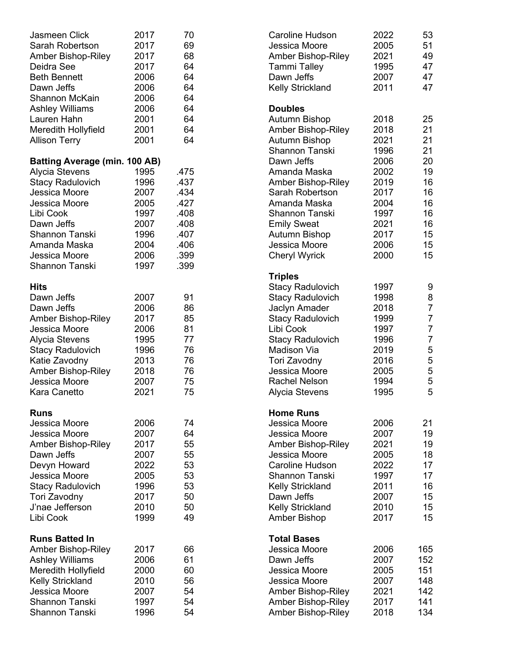| Jasmeen Click                        | 2017 | 70   | <b>Caroline Hudson</b>                 | 2022 | 53             |
|--------------------------------------|------|------|----------------------------------------|------|----------------|
| Sarah Robertson                      | 2017 | 69   | Jessica Moore                          | 2005 | 51             |
| <b>Amber Bishop-Riley</b>            | 2017 | 68   | <b>Amber Bishop-Riley</b>              | 2021 | 49             |
| Deidra See                           | 2017 | 64   | <b>Tammi Talley</b>                    | 1995 | 47             |
| <b>Beth Bennett</b>                  | 2006 | 64   | Dawn Jeffs                             | 2007 | 47             |
| Dawn Jeffs                           | 2006 | 64   | <b>Kelly Strickland</b>                | 2011 | 47             |
| Shannon McKain                       | 2006 | 64   |                                        |      |                |
| <b>Ashley Williams</b>               | 2006 | 64   | <b>Doubles</b>                         |      |                |
| Lauren Hahn                          | 2001 | 64   | Autumn Bishop                          | 2018 | 25             |
| Meredith Hollyfield                  | 2001 | 64   | <b>Amber Bishop-Riley</b>              | 2018 | 21             |
|                                      | 2001 | 64   |                                        | 2021 | 21             |
| <b>Allison Terry</b>                 |      |      | Autumn Bishop<br><b>Shannon Tanski</b> | 1996 | 21             |
| <b>Batting Average (min. 100 AB)</b> |      |      | Dawn Jeffs                             | 2006 | 20             |
| <b>Alycia Stevens</b>                | 1995 | .475 | Amanda Maska                           | 2002 | 19             |
| <b>Stacy Radulovich</b>              | 1996 | .437 | Amber Bishop-Riley                     | 2019 | 16             |
| Jessica Moore                        | 2007 | .434 | Sarah Robertson                        | 2017 | 16             |
| Jessica Moore                        | 2005 | .427 | Amanda Maska                           | 2004 | 16             |
| Libi Cook                            | 1997 | .408 | <b>Shannon Tanski</b>                  | 1997 | 16             |
|                                      | 2007 | .408 |                                        | 2021 | 16             |
| Dawn Jeffs                           |      |      | <b>Emily Sweat</b>                     |      |                |
| <b>Shannon Tanski</b>                | 1996 | .407 | <b>Autumn Bishop</b>                   | 2017 | 15             |
| Amanda Maska                         | 2004 | .406 | Jessica Moore                          | 2006 | 15             |
| Jessica Moore                        | 2006 | .399 | <b>Cheryl Wyrick</b>                   | 2000 | 15             |
| Shannon Tanski                       | 1997 | .399 |                                        |      |                |
|                                      |      |      | <b>Triples</b>                         |      |                |
| <b>Hits</b>                          |      |      | <b>Stacy Radulovich</b>                | 1997 | 9              |
| Dawn Jeffs                           | 2007 | 91   | <b>Stacy Radulovich</b>                | 1998 | 8              |
| Dawn Jeffs                           | 2006 | 86   | Jaclyn Amader                          | 2018 | $\overline{7}$ |
| <b>Amber Bishop-Riley</b>            | 2017 | 85   | <b>Stacy Radulovich</b>                | 1999 | $\overline{7}$ |
| Jessica Moore                        | 2006 | 81   | Libi Cook                              | 1997 | $\overline{7}$ |
| <b>Alycia Stevens</b>                | 1995 | 77   | <b>Stacy Radulovich</b>                | 1996 | $\overline{7}$ |
| <b>Stacy Radulovich</b>              | 1996 | 76   | Madison Via                            | 2019 | 5              |
| Katie Zavodny                        | 2013 | 76   | Tori Zavodny                           | 2016 |                |
| <b>Amber Bishop-Riley</b>            | 2018 | 76   | Jessica Moore                          | 2005 |                |
| Jessica Moore                        | 2007 | 75   | <b>Rachel Nelson</b>                   | 1994 |                |
| Kara Canetto                         | 2021 | 75   | <b>Alycia Stevens</b>                  | 1995 | 55555          |
|                                      |      |      |                                        |      |                |
| <b>Runs</b>                          |      |      | <b>Home Runs</b>                       |      |                |
| Jessica Moore                        | 2006 | 74   | Jessica Moore                          | 2006 | 21             |
| Jessica Moore                        | 2007 | 64   | Jessica Moore                          | 2007 | 19             |
| <b>Amber Bishop-Riley</b>            | 2017 | 55   | <b>Amber Bishop-Riley</b>              | 2021 | 19             |
| Dawn Jeffs                           | 2007 | 55   | Jessica Moore                          | 2005 | 18             |
| Devyn Howard                         | 2022 | 53   | <b>Caroline Hudson</b>                 | 2022 | 17             |
| Jessica Moore                        | 2005 | 53   | <b>Shannon Tanski</b>                  | 1997 | 17             |
| <b>Stacy Radulovich</b>              | 1996 | 53   | <b>Kelly Strickland</b>                | 2011 | 16             |
| Tori Zavodny                         | 2017 | 50   | Dawn Jeffs                             | 2007 | 15             |
| J'nae Jefferson                      | 2010 | 50   | <b>Kelly Strickland</b>                | 2010 | 15             |
| Libi Cook                            | 1999 | 49   | <b>Amber Bishop</b>                    | 2017 | 15             |
|                                      |      |      |                                        |      |                |
| <b>Runs Batted In</b>                |      |      | <b>Total Bases</b>                     |      |                |
| Amber Bishop-Riley                   | 2017 | 66   | Jessica Moore                          | 2006 | 165            |
| <b>Ashley Williams</b>               | 2006 | 61   | Dawn Jeffs                             | 2007 | 152            |
| Meredith Hollyfield                  | 2000 | 60   | Jessica Moore                          | 2005 | 151            |
| <b>Kelly Strickland</b>              | 2010 | 56   | Jessica Moore                          | 2007 | 148            |
| Jessica Moore                        | 2007 | 54   | <b>Amber Bishop-Riley</b>              | 2021 | 142            |
| <b>Shannon Tanski</b>                | 1997 | 54   | Amber Bishop-Riley                     | 2017 | 141            |
| Shannon Tanski                       | 1996 | 54   | Amber Bishop-Riley                     | 2018 | 134            |
|                                      |      |      |                                        |      |                |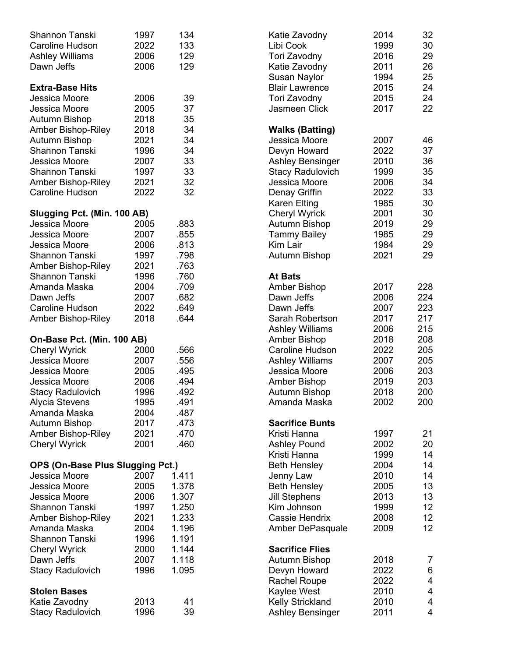| <b>Shannon Tanski</b>            | 1997 | 134   | Katie Zavodny           | 2014 | 32  |
|----------------------------------|------|-------|-------------------------|------|-----|
| <b>Caroline Hudson</b>           | 2022 | 133   | Libi Cook               | 1999 | 30  |
| <b>Ashley Williams</b>           | 2006 | 129   | Tori Zavodny            | 2016 | 29  |
| Dawn Jeffs                       | 2006 | 129   | Katie Zavodny           | 2011 | 26  |
|                                  |      |       | <b>Susan Naylor</b>     | 1994 | 25  |
| <b>Extra-Base Hits</b>           |      |       | <b>Blair Lawrence</b>   | 2015 | 24  |
| Jessica Moore                    | 2006 | 39    | Tori Zavodny            | 2015 | 24  |
| Jessica Moore                    | 2005 | 37    | Jasmeen Click           | 2017 | 22  |
| Autumn Bishop                    | 2018 | 35    |                         |      |     |
| Amber Bishop-Riley               | 2018 | 34    | <b>Walks (Batting)</b>  |      |     |
| Autumn Bishop                    | 2021 | 34    | Jessica Moore           | 2007 | 46  |
| <b>Shannon Tanski</b>            | 1996 | 34    | Devyn Howard            | 2022 | 37  |
|                                  |      |       |                         |      |     |
| Jessica Moore                    | 2007 | 33    | <b>Ashley Bensinger</b> | 2010 | 36  |
| Shannon Tanski                   | 1997 | 33    | <b>Stacy Radulovich</b> | 1999 | 35  |
| <b>Amber Bishop-Riley</b>        | 2021 | 32    | Jessica Moore           | 2006 | 34  |
| <b>Caroline Hudson</b>           | 2022 | 32    | Denay Griffin           | 2022 | 33  |
|                                  |      |       | <b>Karen Elting</b>     | 1985 | 30  |
| Slugging Pct. (Min. 100 AB)      |      |       | <b>Cheryl Wyrick</b>    | 2001 | 30  |
| Jessica Moore                    | 2005 | .883  | Autumn Bishop           | 2019 | 29  |
| Jessica Moore                    | 2007 | .855  | <b>Tammy Bailey</b>     | 1985 | 29  |
| Jessica Moore                    | 2006 | .813  | Kim Lair                | 1984 | 29  |
| Shannon Tanski                   | 1997 | .798  | Autumn Bishop           | 2021 | 29  |
| <b>Amber Bishop-Riley</b>        | 2021 | .763  |                         |      |     |
| <b>Shannon Tanski</b>            | 1996 | .760  | <b>At Bats</b>          |      |     |
| Amanda Maska                     | 2004 | .709  | <b>Amber Bishop</b>     | 2017 | 228 |
| Dawn Jeffs                       | 2007 | .682  | Dawn Jeffs              | 2006 | 224 |
| <b>Caroline Hudson</b>           | 2022 | .649  | Dawn Jeffs              | 2007 | 223 |
| Amber Bishop-Riley               | 2018 | .644  | Sarah Robertson         | 2017 | 217 |
|                                  |      |       | <b>Ashley Williams</b>  | 2006 | 215 |
| On-Base Pct. (Min. 100 AB)       |      |       | Amber Bishop            | 2018 | 208 |
| <b>Cheryl Wyrick</b>             | 2000 | .566  | <b>Caroline Hudson</b>  | 2022 | 205 |
|                                  |      |       |                         |      |     |
| Jessica Moore                    | 2007 | .556  | <b>Ashley Williams</b>  | 2007 | 205 |
| Jessica Moore                    | 2005 | .495  | Jessica Moore           | 2006 | 203 |
| Jessica Moore                    | 2006 | .494  | <b>Amber Bishop</b>     | 2019 | 203 |
| <b>Stacy Radulovich</b>          | 1996 | .492  | Autumn Bishop           | 2018 | 200 |
| <b>Alycia Stevens</b>            | 1995 | 491   | Amanda Maska            | 2002 | 200 |
| Amanda Maska                     | 2004 | .487  |                         |      |     |
| Autumn Bishop                    | 2017 | .473  | <b>Sacrifice Bunts</b>  |      |     |
| Amber Bishop-Riley               | 2021 | .470  | Kristi Hanna            | 1997 | 21  |
| <b>Cheryl Wyrick</b>             | 2001 | .460  | <b>Ashley Pound</b>     | 2002 | 20  |
|                                  |      |       | Kristi Hanna            | 1999 | 14  |
| OPS (On-Base Plus Slugging Pct.) |      |       | <b>Beth Hensley</b>     | 2004 | 14  |
| Jessica Moore                    | 2007 | 1.411 | Jenny Law               | 2010 | 14  |
| Jessica Moore                    | 2005 | 1.378 | <b>Beth Hensley</b>     | 2005 | 13  |
| Jessica Moore                    | 2006 | 1.307 | <b>Jill Stephens</b>    | 2013 | 13  |
| Shannon Tanski                   | 1997 | 1.250 | Kim Johnson             | 1999 | 12  |
| Amber Bishop-Riley               | 2021 | 1.233 | <b>Cassie Hendrix</b>   | 2008 | 12  |
| Amanda Maska                     | 2004 | 1.196 | Amber DePasquale        | 2009 | 12  |
| <b>Shannon Tanski</b>            | 1996 | 1.191 |                         |      |     |
| <b>Cheryl Wyrick</b>             | 2000 | 1.144 | <b>Sacrifice Flies</b>  |      |     |
| Dawn Jeffs                       | 2007 | 1.118 | Autumn Bishop           | 2018 |     |
|                                  |      |       |                         | 2022 | 7   |
| <b>Stacy Radulovich</b>          | 1996 | 1.095 | Devyn Howard            |      | 6   |
|                                  |      |       | <b>Rachel Roupe</b>     | 2022 | 4   |
| <b>Stolen Bases</b>              |      |       | Kaylee West             | 2010 | 4   |
| Katie Zavodny                    | 2013 | 41    | <b>Kelly Strickland</b> | 2010 | 4   |
| <b>Stacy Radulovich</b>          | 1996 | 39    | <b>Ashley Bensinger</b> | 2011 | 4   |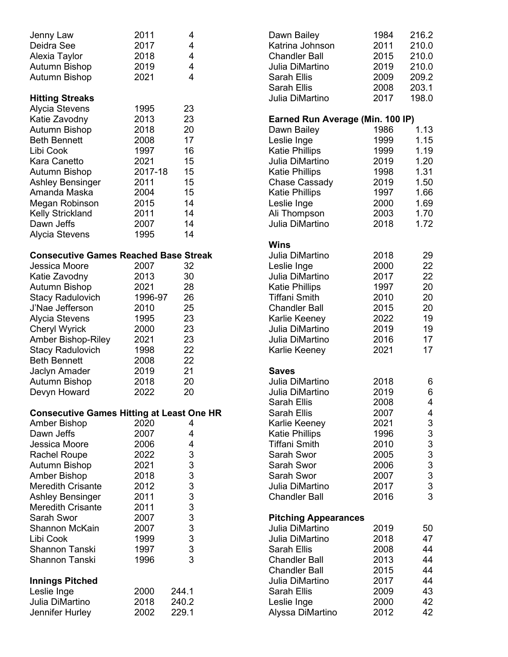| Jenny Law<br>Deidra See<br>Alexia Taylor<br><b>Autumn Bishop</b><br>Autumn Bishop                                                                                                                                                                                                                                                                              | 2011<br>2017<br>2018<br>2019<br>2021                                                                         | 4<br>4<br>$\overline{4}$<br>4<br>4                                         |  |
|----------------------------------------------------------------------------------------------------------------------------------------------------------------------------------------------------------------------------------------------------------------------------------------------------------------------------------------------------------------|--------------------------------------------------------------------------------------------------------------|----------------------------------------------------------------------------|--|
| <b>Hitting Streaks</b><br>Alycia Stevens<br>Katie Zavodny<br><b>Autumn Bishop</b><br><b>Beth Bennett</b><br>Libi Cook<br>Kara Canetto<br>Autumn Bishop<br><b>Ashley Bensinger</b><br>Amanda Maska<br>Megan Robinson<br><b>Kelly Strickland</b><br>Dawn Jeffs<br><b>Alycia Stevens</b>                                                                          | 1995<br>2013<br>2018<br>2008<br>1997<br>2021<br>2017-18<br>2011<br>2004<br>2015<br>2011<br>2007<br>1995      | 23<br>23<br>20<br>17<br>16<br>15<br>15<br>15<br>15<br>14<br>14<br>14<br>14 |  |
| <b>Consecutive Games Reached Base Streak</b><br>Jessica Moore<br>Katie Zavodny<br>Autumn Bishop<br><b>Stacy Radulovich</b><br>J'Nae Jefferson<br>Alycia Stevens<br><b>Cheryl Wyrick</b><br><b>Amber Bishop-Riley</b><br><b>Stacy Radulovich</b><br><b>Beth Bennett</b><br>Jaclyn Amader<br><b>Autumn Bishop</b><br>Devyn Howard                                | 2007<br>2013<br>2021<br>1996-97<br>2010<br>1995<br>2000<br>2021<br>1998<br>2008<br>2019<br>2018<br>2022      | 32<br>30<br>28<br>26<br>25<br>23<br>23<br>23<br>22<br>22<br>21<br>20<br>20 |  |
| <b>Consecutive Games Hitting at Least One HR</b><br><b>Amber Bishop</b><br>Dawn Jeffs<br>Jessica Moore<br><b>Rachel Roupe</b><br><b>Autumn Bishop</b><br><b>Amber Bishop</b><br><b>Meredith Crisante</b><br>Ashley Bensinger<br><b>Meredith Crisante</b><br>Sarah Swor<br><b>Shannon McKain</b><br>Libi Cook<br><b>Shannon Tanski</b><br><b>Shannon Tanski</b> | 2020<br>2007<br>2006<br>2022<br>2021<br>2018<br>2012<br>2011<br>2011<br>2007<br>2007<br>1999<br>1997<br>1996 | 4<br>4<br>4<br>3<br>3<br>333333333<br>3                                    |  |
| <b>Innings Pitched</b><br>Leslie Inge<br>Julia DiMartino<br>Jennifer Hurley                                                                                                                                                                                                                                                                                    | 2000<br>2018<br>2002                                                                                         | 244.1<br>240.2<br>229.1                                                    |  |

| Dawn Bailey<br>Katrina Johnson<br><b>Chandler Ball</b><br>Julia DiMartino<br>Sarah Ellis<br>Sarah Ellis<br>Julia DiMartino                                                                                                       | 1984<br>2011<br>2015<br>2019<br>2009<br>2008<br>2017                                         | 216.2<br>210.0<br>210.0<br>210.0<br>209.2<br>203.1<br>198.0                  |
|----------------------------------------------------------------------------------------------------------------------------------------------------------------------------------------------------------------------------------|----------------------------------------------------------------------------------------------|------------------------------------------------------------------------------|
| Earned Run Average (Min. 100 IP)<br>Dawn Bailey<br>Leslie Inge<br>Katie Phillips<br>Julia DiMartino<br><b>Katie Phillips</b><br>Chase Cassady<br><b>Katie Phillips</b><br>Leslie Inge<br>Ali Thompson<br>Julia DiMartino         | 1986<br>1999<br>1999<br>2019<br>1998<br>2019<br>1997<br>2000<br>2003<br>2018                 | 1.13<br>1.15<br>1.19<br>1.20<br>1.31<br>1.50<br>1.66<br>1.69<br>1.70<br>1.72 |
| Wins<br>Julia DiMartino<br>Leslie Inge<br>Julia DiMartino<br><b>Katie Phillips</b><br>Tiffani Smith<br><b>Chandler Ball</b><br>Karlie Keeney<br>Julia DiMartino<br>Julia DiMartino<br>Karlie Keeney                              | 2018<br>2000<br>2017<br>1997<br>2010<br>2015<br>2022<br>2019<br>2016<br>2021                 | 29<br>22<br>22<br>20<br>20<br>20<br>19<br>19<br>17<br>17                     |
| Saves<br>Julia DiMartino<br>Julia DiMartino<br>Sarah Ellis<br>Sarah Ellis<br>Karlie Keeney<br><b>Katie Phillips</b><br><b>Tiffani Smith</b><br>Sarah Swor<br>Sarah Swor<br>Sarah Swor<br>Julia DiMartino<br><b>Chandler Ball</b> | 2018<br>2019<br>2008<br>2007<br>2021<br>1996<br>2010<br>2005<br>2006<br>2007<br>2017<br>2016 | 6<br>6<br>4<br>4<br>3333333333                                               |
| <b>Pitching Appearances</b><br>Julia DiMartino<br>Julia DiMartino<br>Sarah Ellis<br><b>Chandler Ball</b><br><b>Chandler Ball</b><br>Julia DiMartino<br>Sarah Ellis<br>Leslie Inge<br>Alyssa DiMartino                            | 2019<br>2018<br>2008<br>2013<br>2015<br>2017<br>2009<br>2000<br>2012                         | 50<br>47<br>44<br>44<br>44<br>44<br>43<br>42<br>42                           |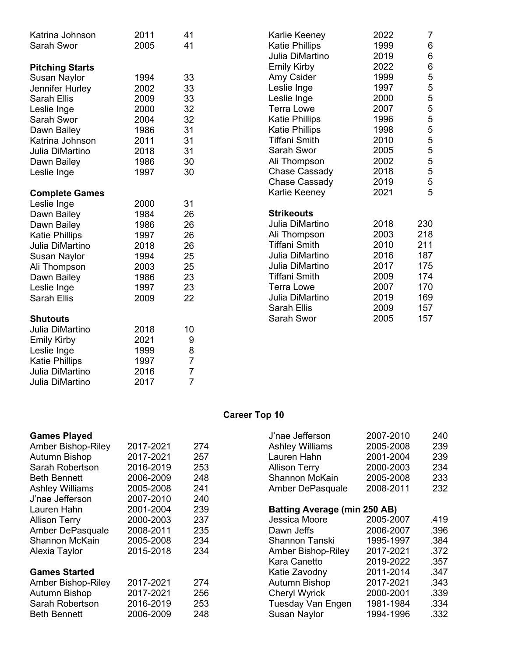| Katrina Johnson        | 2011 | 41             | Karlie Keeney         | 2022 | $\overline{7}$  |
|------------------------|------|----------------|-----------------------|------|-----------------|
| Sarah Swor             | 2005 | 41             | <b>Katie Phillips</b> | 1999 | $6\phantom{1}6$ |
|                        |      |                | Julia DiMartino       | 2019 | $6\phantom{1}6$ |
| <b>Pitching Starts</b> |      |                | <b>Emily Kirby</b>    | 2022 | $6\phantom{a}$  |
| <b>Susan Naylor</b>    | 1994 | 33             | Amy Csider            | 1999 | 5               |
| Jennifer Hurley        | 2002 | 33             | Leslie Inge           | 1997 | 5               |
| <b>Sarah Ellis</b>     | 2009 | 33             | Leslie Inge           | 2000 | $\frac{5}{5}$   |
| Leslie Inge            | 2000 | 32             | <b>Terra Lowe</b>     | 2007 |                 |
| Sarah Swor             | 2004 | 32             | <b>Katie Phillips</b> | 1996 | 5               |
| Dawn Bailey            | 1986 | 31             | <b>Katie Phillips</b> | 1998 | 5               |
| Katrina Johnson        | 2011 | 31             | <b>Tiffani Smith</b>  | 2010 | $\frac{5}{5}$   |
| Julia DiMartino        | 2018 | 31             | Sarah Swor            | 2005 |                 |
| Dawn Bailey            | 1986 | 30             | Ali Thompson          | 2002 | 5               |
| Leslie Inge            | 1997 | 30             | Chase Cassady         | 2018 | 5               |
|                        |      |                | Chase Cassady         | 2019 | $\frac{5}{5}$   |
| <b>Complete Games</b>  |      |                | Karlie Keeney         | 2021 |                 |
| Leslie Inge            | 2000 | 31             |                       |      |                 |
| Dawn Bailey            | 1984 | 26             | <b>Strikeouts</b>     |      |                 |
| Dawn Bailey            | 1986 | 26             | Julia DiMartino       | 2018 | 230             |
| <b>Katie Phillips</b>  | 1997 | 26             | Ali Thompson          | 2003 | 218             |
| Julia DiMartino        | 2018 | 26             | <b>Tiffani Smith</b>  | 2010 | 211             |
| <b>Susan Naylor</b>    | 1994 | 25             | Julia DiMartino       | 2016 | 187             |
| Ali Thompson           | 2003 | 25             | Julia DiMartino       | 2017 | 175             |
| Dawn Bailey            | 1986 | 23             | <b>Tiffani Smith</b>  | 2009 | 174             |
| Leslie Inge            | 1997 | 23             | <b>Terra Lowe</b>     | 2007 | 170             |
| <b>Sarah Ellis</b>     | 2009 | 22             | Julia DiMartino       | 2019 | 169             |
|                        |      |                | <b>Sarah Ellis</b>    | 2009 | 157             |
| <b>Shutouts</b>        |      |                | Sarah Swor            | 2005 | 157             |
| Julia DiMartino        | 2018 | 10             |                       |      |                 |
| <b>Emily Kirby</b>     | 2021 | 9              |                       |      |                 |
| Leslie Inge            | 1999 | 8              |                       |      |                 |
| <b>Katie Phillips</b>  | 1997 | $\overline{7}$ |                       |      |                 |
| Julia DiMartino        | 2016 | $\overline{7}$ |                       |      |                 |

# **Career Top 10**

Julia DiMartino 2017 7

|           |     | J'nae Jefferson<br>240<br>2007-2010           |
|-----------|-----|-----------------------------------------------|
| 2017-2021 | 274 | <b>Ashley Williams</b><br>2005-2008<br>239    |
| 2017-2021 | 257 | Lauren Hahn<br>2001-2004<br>239               |
| 2016-2019 | 253 | <b>Allison Terry</b><br>2000-2003<br>234      |
| 2006-2009 | 248 | Shannon McKain<br>2005-2008<br>233            |
| 2005-2008 | 241 | 2008-2011<br>232<br>Amber DePasquale          |
| 2007-2010 | 240 |                                               |
| 2001-2004 | 239 | <b>Batting Average (min 250 AB)</b>           |
| 2000-2003 | 237 | Jessica Moore<br>.419<br>2005-2007            |
| 2008-2011 | 235 | 2006-2007<br>.396<br>Dawn Jeffs               |
| 2005-2008 | 234 | 1995-1997<br>.384<br>Shannon Tanski           |
| 2015-2018 | 234 | Amber Bishop-Riley<br>2017-2021<br>.372       |
|           |     | Kara Canetto<br>2019-2022<br>.357             |
|           |     | 2011-2014<br>.347<br>Katie Zavodny            |
| 2017-2021 | 274 | <b>Autumn Bishop</b><br>2017-2021<br>.343     |
| 2017-2021 | 256 | <b>Cheryl Wyrick</b><br>2000-2001<br>.339     |
| 2016-2019 | 253 | <b>Tuesday Van Engen</b><br>1981-1984<br>.334 |
| 2006-2009 | 248 | <b>Susan Naylor</b><br>1994-1996<br>.332      |
|           |     |                                               |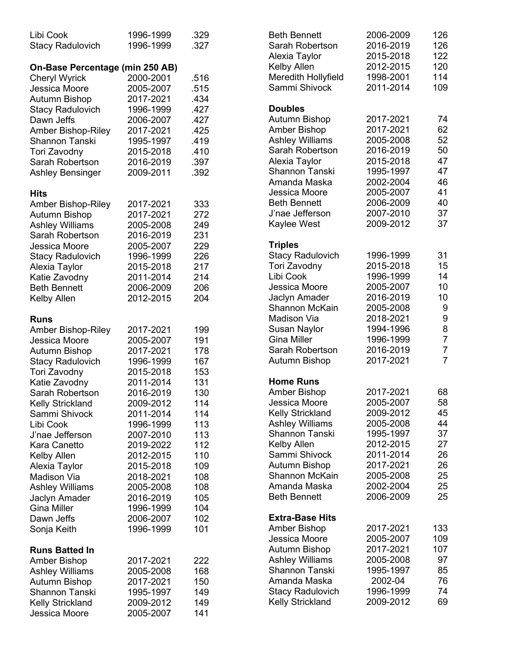| Libi Cook<br><b>Stacy Radulovich</b>  | 1996-1999<br>1996-1999 | .329<br>.327 |
|---------------------------------------|------------------------|--------------|
| On-Base Percentage (min 250 AB)       |                        |              |
| <b>Cheryl Wyrick</b>                  | 2000-2001              | .516         |
| Jessica Moore                         | 2005-2007              | .515         |
| <b>Autumn Bishop</b>                  | 2017-2021              | .434         |
|                                       | 1996-1999              | .427         |
| <b>Stacy Radulovich</b><br>Dawn Jeffs | 2006-2007              | .427         |
|                                       | 2017-2021              |              |
| Amber Bishop-Riley                    |                        | .425<br>.419 |
| <b>Shannon Tanski</b>                 | 1995-1997              |              |
| Tori Zavodny                          | 2015-2018              | .410         |
| Sarah Robertson                       | 2016-2019              | .397         |
| <b>Ashley Bensinger</b>               | 2009-2011              | .392         |
| Hits                                  |                        |              |
| <b>Amber Bishop-Riley</b>             | 2017-2021              | 333          |
| Autumn Bishop                         | 2017-2021              | 272          |
| <b>Ashley Williams</b>                | 2005-2008              | 249          |
| Sarah Robertson                       | 2016-2019              | 231          |
| Jessica Moore                         | 2005-2007              | 229          |
| <b>Stacy Radulovich</b>               | 1996-1999              | 226          |
| Alexia Taylor                         | 2015-2018              | 217          |
| Katie Zavodny                         | 2011-2014              | 214          |
| <b>Beth Bennett</b>                   | 2006-2009              | 206          |
| <b>Kelby Allen</b>                    | 2012-2015              | 204          |
| <b>Runs</b>                           |                        |              |
| Amber Bishop-Riley                    | 2017-2021              | 199          |
| Jessica Moore                         | 2005-2007              | 191          |
| <b>Autumn Bishop</b>                  | 2017-2021              | 178          |
| <b>Stacy Radulovich</b>               | 1996-1999              | 167          |
| Tori Zavodny                          | 2015-2018              | 153          |
| Katie Zavodny                         | 2011-2014              | 131          |
| Sarah Robertson                       | 2016-2019              | 130          |
|                                       |                        |              |
| Kelly Strickland<br>Sammi Shivock     | 2009-2012              | 114<br>114   |
| Libi Cook                             | 2011-2014<br>1996-1999 | 113          |
|                                       |                        |              |
| J'nae Jefferson                       | 2007-2010              | 113          |
| Kara Canetto                          | 2019-2022              | 112          |
| Kelby Allen                           | 2012-2015              | 110          |
| Alexia Taylor                         | 2015-2018              | 109          |
| Madison Via                           | 2018-2021              | 108          |
| Ashley Williams                       | 2005-2008              | 108          |
| Jaclyn Amader                         | 2016-2019              | 105          |
| <b>Gina Miller</b>                    | 1996-1999              | 104          |
| Dawn Jeffs                            | 2006-2007              | 102          |
| Sonja Keith                           | 1996-1999              | 101          |
| <b>Runs Batted In</b>                 |                        |              |
| <b>Amber Bishop</b>                   | 2017-2021              | 222          |
| <b>Ashley Williams</b>                | 2005-2008              | 168          |
| <b>Autumn Bishop</b>                  | 2017-2021              | 150          |
| <b>Shannon Tanski</b>                 | 1995-1997              | 149          |
| <b>Kelly Strickland</b>               | 2009-2012              | 149          |
| Jessica Moore                         | 2005-2007              | 141          |

| <b>Beth Bennett</b><br>Sarah Robertson<br>Alexia Taylor<br>Kelby Allen<br>Meredith Hollyfield<br>Sammi Shivock                                                                                                                                          | 2006-2009<br>2016-2019<br>2015-2018<br>2012-2015<br>1998-2001<br>2011-2014                                                                  | 126<br>126<br>122<br>120<br>114<br>109                                                          |
|---------------------------------------------------------------------------------------------------------------------------------------------------------------------------------------------------------------------------------------------------------|---------------------------------------------------------------------------------------------------------------------------------------------|-------------------------------------------------------------------------------------------------|
| <b>Doubles</b><br>Autumn Bishop<br>Amber Bishop<br><b>Ashley Williams</b><br>Sarah Robertson<br>Alexia Taylor<br><b>Shannon Tanski</b><br>Amanda Maska<br>Jessica Moore<br><b>Beth Bennett</b><br>J'nae Jefferson<br>Kaylee West                        | 2017-2021<br>2017-2021<br>2005-2008<br>2016-2019<br>2015-2018<br>1995-1997<br>2002-2004<br>2005-2007<br>2006-2009<br>2007-2010<br>2009-2012 | 74<br>62<br>52<br>50<br>47<br>47<br>46<br>41<br>40<br>37<br>37                                  |
| <b>Triples</b><br><b>Stacy Radulovich</b><br><b>Tori Zavodny</b><br>Libi Cook<br>Jessica Moore<br>Jaclyn Amader<br><b>Shannon McKain</b><br>Madison Via<br>Susan Naylor<br><b>Gina Miller</b><br>Sarah Robertson<br>Autumn Bishop                       | 1996-1999<br>2015-2018<br>1996-1999<br>2005-2007<br>2016-2019<br>2005-2008<br>2018-2021<br>1994-1996<br>1996-1999<br>2016-2019<br>2017-2021 | 31<br>15<br>14<br>10<br>10<br>9<br>9<br>8<br>$\overline{7}$<br>$\overline{7}$<br>$\overline{7}$ |
| <b>Home Runs</b><br><b>Amber Bishop</b><br>Jessica Moore<br><b>Kelly Strickland</b><br><b>Ashley Williams</b><br><b>Shannon Tanski</b><br>Kelby Allen<br>Sammi Shivock<br>Autumn Bishop<br><b>Shannon McKain</b><br>Amanda Maska<br><b>Beth Bennett</b> | 2017-2021<br>2005-2007<br>2009-2012<br>2005-2008<br>1995-1997<br>2012-2015<br>2011-2014<br>2017-2021<br>2005-2008<br>2002-2004<br>2006-2009 | 68<br>58.<br>45<br>44<br>37<br>27<br>26<br>26<br>25<br>25<br>25                                 |
| <b>Extra-Base Hits</b><br>Amber Bishop<br>Jessica Moore<br>Autumn Bishop<br>Ashley Williams<br><b>Shannon Tanski</b><br>Amanda Maska<br><b>Stacy Radulovich</b><br>Kelly Strickland                                                                     | 2017-2021<br>2005-2007<br>2017-2021<br>2005-2008<br>1995-1997<br>2002-04<br>1996-1999<br>2009-2012                                          | 133<br>109<br>107<br>97<br>85<br>76<br>74<br>69                                                 |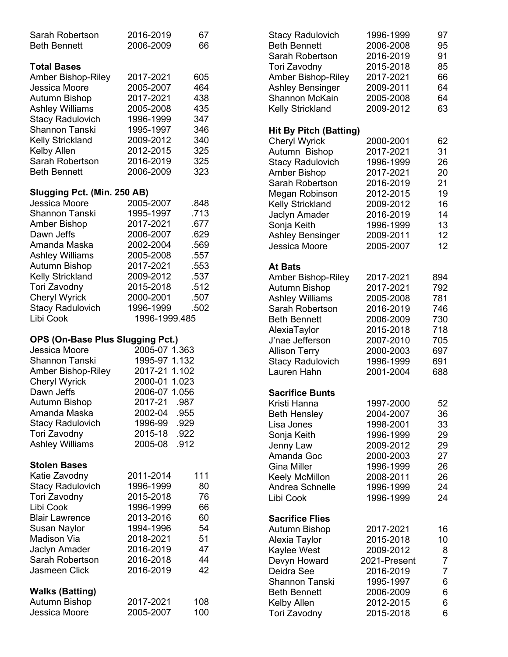| Sarah Robertson<br><b>Beth Bennett</b>                                                                                                                                                                                                                                           | 2016-2019<br>2006-2009                                                                                                                                       | 67<br>66                                                                             |
|----------------------------------------------------------------------------------------------------------------------------------------------------------------------------------------------------------------------------------------------------------------------------------|--------------------------------------------------------------------------------------------------------------------------------------------------------------|--------------------------------------------------------------------------------------|
| <b>Total Bases</b><br><b>Amber Bishop-Riley</b><br>Jessica Moore<br><b>Autumn Bishop</b><br><b>Ashley Williams</b><br><b>Stacy Radulovich</b><br><b>Shannon Tanski</b><br><b>Kelly Strickland</b><br>Kelby Allen<br>Sarah Robertson<br><b>Beth Bennett</b>                       | 2017-2021<br>2005-2007<br>2017-2021<br>2005-2008<br>1996-1999<br>1995-1997<br>2009-2012<br>2012-2015<br>2016-2019<br>2006-2009                               | 605<br>464<br>438<br>435<br>347<br>346<br>340<br>325<br>325<br>323                   |
| Slugging Pct. (Min. 250 AB)<br>Jessica Moore<br><b>Shannon Tanski</b><br>Amber Bishop<br>Dawn Jeffs<br>Amanda Maska<br><b>Ashley Williams</b><br><b>Autumn Bishop</b><br><b>Kelly Strickland</b><br>Tori Zavodny<br><b>Cheryl Wyrick</b><br><b>Stacy Radulovich</b><br>Libi Cook | 2005-2007<br>1995-1997<br>2017-2021<br>2006-2007<br>2002-2004<br>2005-2008<br>2017-2021<br>2009-2012<br>2015-2018<br>2000-2001<br>1996-1999<br>1996-1999.485 | .848<br>.713<br>.677<br>.629<br>.569<br>.557<br>.553<br>.537<br>.512<br>.507<br>.502 |
| OPS (On-Base Plus Slugging Pct.)<br>Jessica Moore<br>Shannon Tanski<br>Amber Bishop-Riley<br><b>Cheryl Wyrick</b><br>Dawn Jeffs<br><b>Autumn Bishop</b><br>Amanda Maska<br><b>Stacy Radulovich</b><br>Tori Zavodny<br><b>Ashley Williams</b>                                     | 2005-07 1.363<br>1995-97 1.132<br>2017-21 1.102<br>2000-01 1.023<br>2006-07 1.056<br>2017-21<br>2002-04<br>1996-99<br>2015-18<br>2005-08                     | .987<br>.955<br>.929<br>.922<br>.912                                                 |
| <b>Stolen Bases</b><br>Katie Zavodny<br><b>Stacy Radulovich</b><br>Tori Zavodny<br>Libi Cook<br><b>Blair Lawrence</b><br>Susan Naylor<br><b>Madison Via</b><br><b>Jaclyn Amader</b><br>Sarah Robertson<br>Jasmeen Click                                                          | 2011-2014<br>1996-1999<br>2015-2018<br>1996-1999<br>2013-2016<br>1994-1996<br>2018-2021<br>2016-2019<br>2016-2018<br>2016-2019                               | 111<br>80<br>76<br>66<br>60<br>54<br>51<br>47<br>44<br>42                            |
| <b>Walks (Batting)</b><br><b>Autumn Bishop</b><br>Jessica Moore                                                                                                                                                                                                                  | 2017-2021<br>2005-2007                                                                                                                                       | 108<br>100                                                                           |

| Stacy Radulovich<br><b>Beth Bennett</b><br>Sarah Robertson<br>Tori Zavodny<br><b>Amber Bishop-Riley</b><br><b>Ashley Bensinger</b><br><b>Shannon McKain</b><br><b>Kelly Strickland</b>                                                                 | 1996-1999<br>2006-2008<br>2016-2019<br>2015-2018<br>2017-2021<br>2009-2011<br>2005-2008<br>2009-2012                                        | 97<br>95<br>91<br>85<br>66<br>64<br>64<br>63                       |
|--------------------------------------------------------------------------------------------------------------------------------------------------------------------------------------------------------------------------------------------------------|---------------------------------------------------------------------------------------------------------------------------------------------|--------------------------------------------------------------------|
| <b>Hit By Pitch (Batting)</b><br><b>Cheryl Wyrick</b><br>Autumn Bishop<br><b>Stacy Radulovich</b><br>Amber Bishop<br>Sarah Robertson<br>Megan Robinson<br>Kelly Strickland<br>Jaclyn Amader<br>Sonja Keith<br><b>Ashley Bensinger</b><br>Jessica Moore | 2000-2001<br>2017-2021<br>1996-1999<br>2017-2021<br>2016-2019<br>2012-2015<br>2009-2012<br>2016-2019<br>1996-1999<br>2009-2011<br>2005-2007 | 62<br>31<br>26<br>20<br>21<br>19<br>16<br>14<br>13<br>12<br>12     |
| At Bats<br><b>Amber Bishop-Riley</b><br>Autumn Bishop<br><b>Ashley Williams</b><br>Sarah Robertson<br><b>Beth Bennett</b><br>AlexiaTaylor<br>J'nae Jefferson<br><b>Allison Terry</b><br><b>Stacy Radulovich</b><br>Lauren Hahn                         | 2017-2021<br>2017-2021<br>2005-2008<br>2016-2019<br>2006-2009<br>2015-2018<br>2007-2010<br>2000-2003<br>1996-1999<br>2001-2004              | 894<br>792<br>781<br>746<br>730<br>718<br>705<br>697<br>691<br>688 |
| <b>Sacrifice Bunts</b><br>Kristi Hanna<br><b>Beth Hensley</b><br>Lisa Jones<br>Sonja Keith<br>Jenny Law<br>Amanda Goc<br><b>Gina Miller</b><br>Keely McMillon<br>Andrea Schnelle<br>Libi Cook                                                          | 1997-2000<br>2004-2007<br>1998-2001<br>1996-1999<br>2009-2012<br>2000-2003<br>1996-1999<br>2008-2011<br>1996-1999<br>1996-1999              | 52<br>36<br>33<br>29<br>29<br>27<br>26<br>26<br>24<br>24           |
| <b>Sacrifice Flies</b><br>Autumn Bishop<br>Alexia Taylor<br>Kaylee West<br>Devyn Howard<br>Deidra See<br><b>Shannon Tanski</b><br><b>Beth Bennett</b><br>Kelby Allen<br>Tori Zavodny                                                                   | 2017-2021<br>2015-2018<br>2009-2012<br>2021-Present<br>2016-2019<br>1995-1997<br>2006-2009<br>2012-2015<br>2015-2018                        | 16<br>10<br>8<br>7<br>7<br>6<br>6<br>6<br>6                        |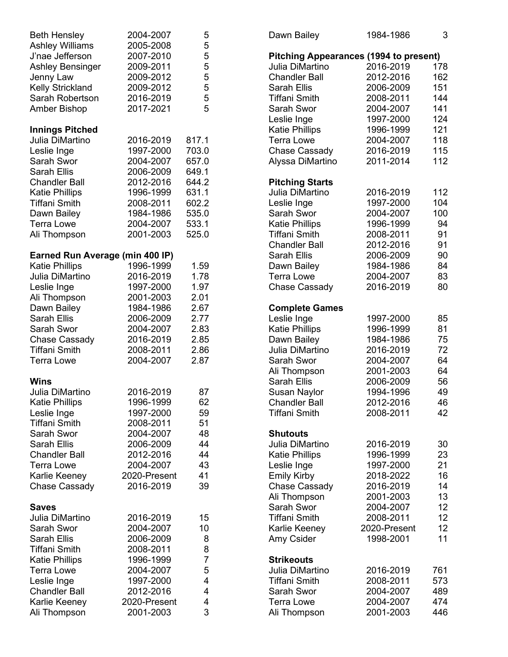| <b>Beth Hensley</b><br><b>Ashley Williams</b><br>J'nae Jefferson<br><b>Ashley Bensinger</b><br>Jenny Law<br><b>Kelly Strickland</b><br>Sarah Robertson<br>Amber Bishop | 2004-2007<br>2005-2008<br>2007-2010<br>2009-2011<br>2009-2012<br>2009-2012<br>2016-2019<br>2017-2021 | 5<br>5<br>5<br>5<br>5<br>5<br>5<br>5 |
|------------------------------------------------------------------------------------------------------------------------------------------------------------------------|------------------------------------------------------------------------------------------------------|--------------------------------------|
|                                                                                                                                                                        |                                                                                                      |                                      |
| <b>Innings Pitched</b><br>Julia DiMartino                                                                                                                              |                                                                                                      |                                      |
| Leslie Inge                                                                                                                                                            | 2016-2019<br>1997-2000                                                                               | 817.1<br>703.0                       |
| Sarah Swor                                                                                                                                                             | 2004-2007                                                                                            | 657.0                                |
| <b>Sarah Ellis</b>                                                                                                                                                     | 2006-2009                                                                                            | 649.1                                |
| <b>Chandler Ball</b>                                                                                                                                                   | 2012-2016                                                                                            | 644.2                                |
| <b>Katie Phillips</b>                                                                                                                                                  | 1996-1999                                                                                            | 631.1                                |
| <b>Tiffani Smith</b>                                                                                                                                                   | 2008-2011                                                                                            | 602.2                                |
| Dawn Bailey                                                                                                                                                            | 1984-1986                                                                                            | 535.0                                |
| <b>Terra Lowe</b>                                                                                                                                                      | 2004-2007                                                                                            | 533.1                                |
| Ali Thompson                                                                                                                                                           | 2001-2003                                                                                            | 525.0                                |
| Earned Run Average (min 400 IP)                                                                                                                                        |                                                                                                      |                                      |
| <b>Katie Phillips</b>                                                                                                                                                  | 1996-1999                                                                                            | 1.59                                 |
| Julia DiMartino                                                                                                                                                        | 2016-2019                                                                                            | 1.78                                 |
| Leslie Inge                                                                                                                                                            | 1997-2000                                                                                            | 1.97                                 |
| Ali Thompson                                                                                                                                                           | 2001-2003                                                                                            | 2.01                                 |
| Dawn Bailey                                                                                                                                                            | 1984-1986                                                                                            | 2.67                                 |
| <b>Sarah Ellis</b><br>Sarah Swor                                                                                                                                       | 2006-2009                                                                                            | 2.77<br>2.83                         |
| <b>Chase Cassady</b>                                                                                                                                                   | 2004-2007<br>2016-2019                                                                               | 2.85                                 |
| <b>Tiffani Smith</b>                                                                                                                                                   | 2008-2011                                                                                            | 2.86                                 |
| <b>Terra Lowe</b>                                                                                                                                                      | 2004-2007                                                                                            | 2.87                                 |
| Wins                                                                                                                                                                   |                                                                                                      |                                      |
| Julia DiMartino                                                                                                                                                        | 2016-2019                                                                                            | 87                                   |
| <b>Katie Phillips</b>                                                                                                                                                  | 1996-1999                                                                                            | 62                                   |
| Leslie Inge                                                                                                                                                            | 1997-2000                                                                                            | 59                                   |
| <b>Tiffani Smith</b>                                                                                                                                                   | 2008-2011                                                                                            | 51                                   |
| Sarah Swor                                                                                                                                                             | 2004-2007                                                                                            | 48                                   |
| <b>Sarah Ellis</b>                                                                                                                                                     | 2006-2009                                                                                            | 44                                   |
| <b>Chandler Ball</b>                                                                                                                                                   | 2012-2016                                                                                            | 44                                   |
| <b>Terra Lowe</b>                                                                                                                                                      | 2004-2007                                                                                            | 43                                   |
| Karlie Keeney                                                                                                                                                          | 2020-Present                                                                                         | 41                                   |
| <b>Chase Cassady</b>                                                                                                                                                   | 2016-2019                                                                                            | 39                                   |
| Saves                                                                                                                                                                  |                                                                                                      |                                      |
| Julia DiMartino                                                                                                                                                        | 2016-2019                                                                                            | 15                                   |
| Sarah Swor                                                                                                                                                             | 2004-2007                                                                                            | 10                                   |
| <b>Sarah Ellis</b>                                                                                                                                                     | 2006-2009                                                                                            | 8                                    |
| Tiffani Smith                                                                                                                                                          | 2008-2011                                                                                            | 8                                    |
| <b>Katie Phillips</b>                                                                                                                                                  | 1996-1999<br>2004-2007                                                                               | 7                                    |
| <b>Terra Lowe</b><br>Leslie Inge                                                                                                                                       | 1997-2000                                                                                            | 5<br>4                               |
| <b>Chandler Ball</b>                                                                                                                                                   | 2012-2016                                                                                            | $\overline{4}$                       |
| Karlie Keeney                                                                                                                                                          | 2020-Present                                                                                         | 4                                    |
| Ali Thompson                                                                                                                                                           | 2001-2003                                                                                            | 3                                    |

| Dawn Bailey                                                                                                                                                                                                                                                   | 1984-1986                                                                                                                         | 3                                                                  |
|---------------------------------------------------------------------------------------------------------------------------------------------------------------------------------------------------------------------------------------------------------------|-----------------------------------------------------------------------------------------------------------------------------------|--------------------------------------------------------------------|
| <b>Pitching Appearances (1994 to present)</b><br>Julia DiMartino<br><b>Chandler Ball</b><br><b>Sarah Ellis</b><br><b>Tiffani Smith</b><br>Sarah Swor<br>Leslie Inge<br><b>Katie Phillips</b><br><b>Terra Lowe</b><br><b>Chase Cassady</b><br>Alyssa DiMartino | 2016-2019<br>2012-2016<br>2006-2009<br>2008-2011<br>2004-2007<br>1997-2000<br>1996-1999<br>2004-2007<br>2016-2019<br>2011-2014    | 178<br>162<br>151<br>144<br>141<br>124<br>121<br>118<br>115<br>112 |
| <b>Pitching Starts</b><br>Julia DiMartino<br>Leslie Inge<br>Sarah Swor<br><b>Katie Phillips</b><br><b>Tiffani Smith</b><br><b>Chandler Ball</b><br><b>Sarah Ellis</b><br>Dawn Bailey<br><b>Terra Lowe</b><br><b>Chase Cassady</b>                             | 2016-2019<br>1997-2000<br>2004-2007<br>1996-1999<br>2008-2011<br>2012-2016<br>2006-2009<br>1984-1986<br>2004-2007<br>2016-2019    | 112<br>104<br>100<br>94<br>91<br>91<br>90<br>84<br>83<br>80        |
| <b>Complete Games</b><br>Leslie Inge<br><b>Katie Phillips</b><br>Dawn Bailey<br>Julia DiMartino<br>Sarah Swor<br>Ali Thompson<br><b>Sarah Ellis</b><br><b>Susan Naylor</b><br><b>Chandler Ball</b><br><b>Tiffani Smith</b>                                    | 1997-2000<br>1996-1999<br>1984-1986<br>2016-2019<br>2004-2007<br>2001-2003<br>2006-2009<br>1994-1996<br>2012-2016<br>2008-2011    | 85<br>81<br>75<br>72<br>64<br>64<br>56<br>49<br>46<br>42           |
| <b>Shutouts</b><br>Julia DiMartino<br><b>Katie Phillips</b><br>Leslie Inge<br><b>Emily Kirby</b><br><b>Chase Cassady</b><br>Ali Thompson<br>Sarah Swor<br><b>Tiffani Smith</b><br>Karlie Keeney<br>Amy Csider                                                 | 2016-2019<br>1996-1999<br>1997-2000<br>2018-2022<br>2016-2019<br>2001-2003<br>2004-2007<br>2008-2011<br>2020-Present<br>1998-2001 | 30<br>23<br>21<br>16<br>14<br>13<br>12<br>12<br>12<br>11           |
| <b>Strikeouts</b><br>Julia DiMartino<br>Tiffani Smith<br>Sarah Swor<br><b>Terra Lowe</b><br>Ali Thompson                                                                                                                                                      | 2016-2019<br>2008-2011<br>2004-2007<br>2004-2007<br>2001-2003                                                                     | 761<br>573<br>489<br>474<br>446                                    |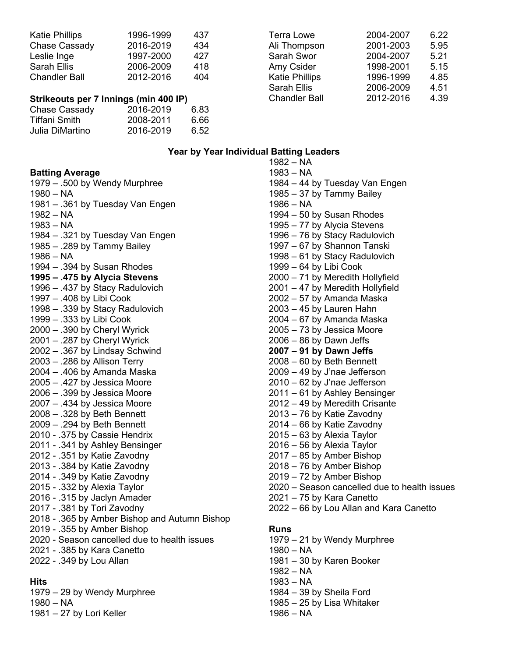| <b>Katie Phillips</b> | 1996-1999 | 437 |
|-----------------------|-----------|-----|
| Chase Cassady         | 2016-2019 | 434 |
| Leslie Inge           | 1997-2000 | 427 |
| <b>Sarah Ellis</b>    | 2006-2009 | 418 |
| <b>Chandler Ball</b>  | 2012-2016 | 404 |
|                       |           |     |

#### **Strikeouts per 7 Innings (min 400 IP)**

| Chase Cassady   | 2016-2019 | 6.83 |
|-----------------|-----------|------|
| Tiffani Smith   | 2008-2011 | 6.66 |
| Julia DiMartino | 2016-2019 | 6.52 |

| <b>Terra Lowe</b>     | 2004-2007 | 6.22 |
|-----------------------|-----------|------|
| Ali Thompson          | 2001-2003 | 5.95 |
| Sarah Swor            | 2004-2007 | 5.21 |
| Amy Csider            | 1998-2001 | 5.15 |
| <b>Katie Phillips</b> | 1996-1999 | 4.85 |
| Sarah Ellis           | 2006-2009 | 4.51 |
| <b>Chandler Ball</b>  | 2012-2016 | 4.39 |
|                       |           |      |

#### **Year by Year Individual Batting Leaders**

| <b>Batting Average</b>                                                      |
|-----------------------------------------------------------------------------|
| 1979 - .500 by Wendy Murphree                                               |
| $1980 - NA$                                                                 |
| 1981 – .361 by Tuesday Van Engen                                            |
| 1982 – NA                                                                   |
| $1983 - NA$                                                                 |
| 1984 - .321 by Tuesday Van Engen                                            |
| 1985 - .289 by Tammy Bailey                                                 |
| $1986 - NA$                                                                 |
| 1994 - .394 by Susan Rhodes                                                 |
| 1995 - .475 by Alycia Stevens                                               |
| 1996 - .437 by Stacy Radulovich                                             |
| 1997 - .408 by Libi Cook                                                    |
| 1998 - .339 by Stacy Radulovich<br>1999 - .333 by Libi Cook                 |
| 2000 - .390 by Cheryl Wyrick                                                |
| 2001 - .287 by Cheryl Wyrick                                                |
| 2002 - .367 by Lindsay Schwind                                              |
| 2003 - .286 by Allison Terry                                                |
| 2004 - .406 by Amanda Maska                                                 |
| 2005 - .427 by Jessica Moore                                                |
| 2006 - .399 by Jessica Moore                                                |
| 2007 - .434 by Jessica Moore                                                |
| 2008 - .328 by Beth Bennett                                                 |
| 2009 - .294 by Beth Bennett                                                 |
| 2010 - .375 by Cassie Hendrix                                               |
| 2011 - .341 by Ashley Bensinger                                             |
| 2012 - .351 by Katie Zavodny                                                |
| 2013 - .384 by Katie Zavodny                                                |
| 2014 - .349 by Katie Zavodny                                                |
| 2015 - .332 by Alexia Taylor                                                |
| 2016 - .315 by Jaclyn Amader                                                |
| 2017 - .381 by Tori Zavodny                                                 |
| 2018 - .365 by Amber Bishop and Autumn Bishop                               |
| 2019 - .355 by Amber Bishop<br>2020 - Season cancelled due to health issues |
| 2021 - .385 by Kara Canetto                                                 |
| 2022 - .349 by Lou Allan                                                    |
|                                                                             |

# **Hits**

1979 – 29 by Wendy Murphree

1980 – NA

1981 – 27 by Lori Keller

1982 – NA 1983 – NA 1984 – 44 by Tuesday Van Engen 1985 – 37 by Tammy Bailey 1986 – NA 1994 – 50 by Susan Rhodes 1995 – 77 by Alycia Stevens 1996 – 76 by Stacy Radulovich 1997 – 67 by Shannon Tanski 1998 – 61 by Stacy Radulovich 1999 – 64 by Libi Cook 2000 – 71 by Meredith Hollyfield 2001 – 47 by Meredith Hollyfield 2002 – 57 by Amanda Maska 2003 – 45 by Lauren Hahn 2004 – 67 by Amanda Maska 2005 – 73 by Jessica Moore 2006 – 86 by Dawn Jeffs **2007 – 91 by Dawn Jeffs** 2008 – 60 by Beth Bennett 2009 – 49 by J'nae Jefferson 2010 – 62 by J'nae Jefferson 2011 – 61 by Ashley Bensinger 2012 – 49 by Meredith Crisante 2013 – 76 by Katie Zavodny 2014 – 66 by Katie Zavodny 2015 – 63 by Alexia Taylor 2016 – 56 by Alexia Taylor 2017 – 85 by Amber Bishop 2018 – 76 by Amber Bishop 2019 – 72 by Amber Bishop 2020 – Season cancelled due to health issues 2021 – 75 by Kara Canetto 2022 – 66 by Lou Allan and Kara Canetto **Runs** 1979 – 21 by Wendy Murphree

- 
- 1980 NA
- 1981 30 by Karen Booker
- 1982 NA
- 1983 NA
- 1984 39 by Sheila Ford
- 1985 25 by Lisa Whitaker
- 1986 NA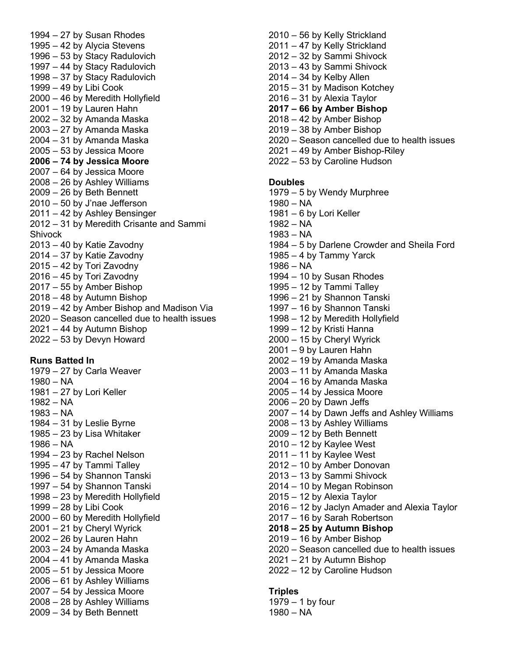1994 – 27 by Susan Rhodes 1995 – 42 by Alycia Stevens 1996 – 53 by Stacy Radulovich 1997 – 44 by Stacy Radulovich 1998 – 37 by Stacy Radulovich 1999 – 49 by Libi Cook 2000 – 46 by Meredith Hollyfield 2001 – 19 by Lauren Hahn 2002 – 32 by Amanda Maska 2003 – 27 by Amanda Maska 2004 – 31 by Amanda Maska 2005 – 53 by Jessica Moore **2006 – 74 by Jessica Moore** 2007 – 64 by Jessica Moore 2008 – 26 by Ashley Williams 2009 – 26 by Beth Bennett 2010 – 50 by J'nae Jefferson 2011 – 42 by Ashley Bensinger 2012 – 31 by Meredith Crisante and Sammi **Shivock** 2013 – 40 by Katie Zavodny 2014 – 37 by Katie Zavodny 2015 – 42 by Tori Zavodny 2016 – 45 by Tori Zavodny 2017 – 55 by Amber Bishop 2018 – 48 by Autumn Bishop 2019 – 42 by Amber Bishop and Madison Via 2020 – Season cancelled due to health issues 2021 – 44 by Autumn Bishop 2022 – 53 by Devyn Howard

#### **Runs Batted In**

- 1979 27 by Carla Weaver
- 1980 NA
- 1981 27 by Lori Keller
- 1982 NA
- 1983 NA
- 1984 31 by Leslie Byrne
- 1985 23 by Lisa Whitaker
- 1986 NA
- 1994 23 by Rachel Nelson
- 1995 47 by Tammi Talley
- 1996 54 by Shannon Tanski
- 1997 54 by Shannon Tanski
- 1998 23 by Meredith Hollyfield
- 1999 28 by Libi Cook
- 2000 60 by Meredith Hollyfield
- 2001 21 by Cheryl Wyrick
- 2002 26 by Lauren Hahn
- 2003 24 by Amanda Maska
- 2004 41 by Amanda Maska
- 2005 51 by Jessica Moore
- 2006 61 by Ashley Williams
- 2007 54 by Jessica Moore
- 2008 28 by Ashley Williams 2009 – 34 by Beth Bennett

2010 – 56 by Kelly Strickland 2011 – 47 by Kelly Strickland 2012 – 32 by Sammi Shivock 2013 – 43 by Sammi Shivock  $2014 - 34$  by Kelby Allen 2015 – 31 by Madison Kotchey 2016 – 31 by Alexia Taylor **2017 – 66 by Amber Bishop** 2018 – 42 by Amber Bishop 2019 – 38 by Amber Bishop 2020 – Season cancelled due to health issues 2021 – 49 by Amber Bishop-Riley 2022 – 53 by Caroline Hudson

# **Doubles**

- 1979 5 by Wendy Murphree
- 1980 NA
- 1981 6 by Lori Keller
- 1982 NA
- 1983 NA
- 1984 5 by Darlene Crowder and Sheila Ford
- 1985 4 by Tammy Yarck
- 1986 NA
- 1994 10 by Susan Rhodes
- 1995 12 by Tammi Talley
- 1996 21 by Shannon Tanski
- 1997 16 by Shannon Tanski
- 1998 12 by Meredith Hollyfield
- 1999 12 by Kristi Hanna
- 2000 15 by Cheryl Wyrick
- 2001 9 by Lauren Hahn
- 2002 19 by Amanda Maska
- 2003 11 by Amanda Maska
- 2004 16 by Amanda Maska
- 2005 14 by Jessica Moore
- 2006 20 by Dawn Jeffs
- 2007 14 by Dawn Jeffs and Ashley Williams
- 2008 13 by Ashley Williams
- 2009 12 by Beth Bennett
- 2010 12 by Kaylee West
- $2011 11$  by Kaylee West
- 2012 10 by Amber Donovan
- 2013 13 by Sammi Shivock
- 2014 10 by Megan Robinson
- 2015 12 by Alexia Taylor
- 2016 12 by Jaclyn Amader and Alexia Taylor
- 2017 16 by Sarah Robertson
- **2018 – 25 by Autumn Bishop**
- 2019 16 by Amber Bishop
- 2020 Season cancelled due to health issues
- 2021 21 by Autumn Bishop
- 2022 12 by Caroline Hudson

#### **Triples**

1979 – 1 by four 1980 – NA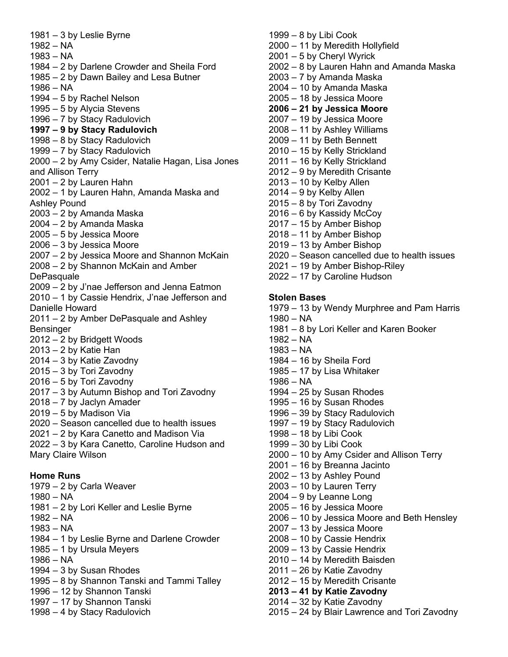1981 – 3 by Leslie Byrne 1982 – NA 1983 – NA 1984 – 2 by Darlene Crowder and Sheila Ford 1985 – 2 by Dawn Bailey and Lesa Butner 1986 – NA 1994 – 5 by Rachel Nelson 1995 – 5 by Alycia Stevens 1996 – 7 by Stacy Radulovich **1997 – 9 by Stacy Radulovich** 1998 – 8 by Stacy Radulovich 1999 – 7 by Stacy Radulovich 2000 – 2 by Amy Csider, Natalie Hagan, Lisa Jones and Allison Terry 2001 – 2 by Lauren Hahn 2002 – 1 by Lauren Hahn, Amanda Maska and Ashley Pound 2003 – 2 by Amanda Maska 2004 – 2 by Amanda Maska 2005 – 5 by Jessica Moore 2006 – 3 by Jessica Moore 2007 – 2 by Jessica Moore and Shannon McKain 2008 – 2 by Shannon McKain and Amber **DePasquale** 2009 – 2 by J'nae Jefferson and Jenna Eatmon 2010 – 1 by Cassie Hendrix, J'nae Jefferson and Danielle Howard 2011 – 2 by Amber DePasquale and Ashley Bensinger 2012 – 2 by Bridgett Woods 2013 – 2 by Katie Han 2014 – 3 by Katie Zavodny 2015 – 3 by Tori Zavodny 2016 – 5 by Tori Zavodny 2017 – 3 by Autumn Bishop and Tori Zavodny 2018 – 7 by Jaclyn Amader 2019 – 5 by Madison Via 2020 – Season cancelled due to health issues 2021 – 2 by Kara Canetto and Madison Via 2022 – 3 by Kara Canetto, Caroline Hudson and Mary Claire Wilson **Home Runs** 1979 – 2 by Carla Weaver 1980 – NA

- 1981 2 by Lori Keller and Leslie Byrne
- 1982 NA
- 1983 NA
- 1984 1 by Leslie Byrne and Darlene Crowder
- 1985 1 by Ursula Meyers
- 1986 NA
- 1994 3 by Susan Rhodes
- 1995 8 by Shannon Tanski and Tammi Talley
- 1996 12 by Shannon Tanski
- 1997 17 by Shannon Tanski
- 1998 4 by Stacy Radulovich

1999 – 8 by Libi Cook 2000 – 11 by Meredith Hollyfield 2001 – 5 by Cheryl Wyrick 2002 – 8 by Lauren Hahn and Amanda Maska 2003 – 7 by Amanda Maska 2004 – 10 by Amanda Maska 2005 – 18 by Jessica Moore **2006 – 21 by Jessica Moore** 2007 – 19 by Jessica Moore 2008 – 11 by Ashley Williams 2009 – 11 by Beth Bennett 2010 – 15 by Kelly Strickland 2011 – 16 by Kelly Strickland 2012 – 9 by Meredith Crisante 2013 – 10 by Kelby Allen 2014 – 9 by Kelby Allen 2015 – 8 by Tori Zavodny 2016 – 6 by Kassidy McCoy 2017 – 15 by Amber Bishop 2018 – 11 by Amber Bishop 2019 – 13 by Amber Bishop 2020 – Season cancelled due to health issues 2021 – 19 by Amber Bishop-Riley 2022 – 17 by Caroline Hudson **Stolen Bases** 1979 – 13 by Wendy Murphree and Pam Harris 1980 – NA 1981 – 8 by Lori Keller and Karen Booker 1982 – NA 1983 – NA 1984 – 16 by Sheila Ford 1985 – 17 by Lisa Whitaker 1986 – NA 1994 – 25 by Susan Rhodes 1995 – 16 by Susan Rhodes 1996 – 39 by Stacy Radulovich 1997 – 19 by Stacy Radulovich 1998 – 18 by Libi Cook 1999 – 30 by Libi Cook 2000 – 10 by Amy Csider and Allison Terry 2001 – 16 by Breanna Jacinto 2002 – 13 by Ashley Pound 2003 – 10 by Lauren Terry 2004 – 9 by Leanne Long 2005 – 16 by Jessica Moore 2006 – 10 by Jessica Moore and Beth Hensley 2007 – 13 by Jessica Moore 2008 – 10 by Cassie Hendrix 2009 – 13 by Cassie Hendrix 2010 – 14 by Meredith Baisden

- 2011 26 by Katie Zavodny
- 2012 15 by Meredith Crisante
- **2013 – 41 by Katie Zavodny**
- 2014 32 by Katie Zavodny
- 2015 24 by Blair Lawrence and Tori Zavodny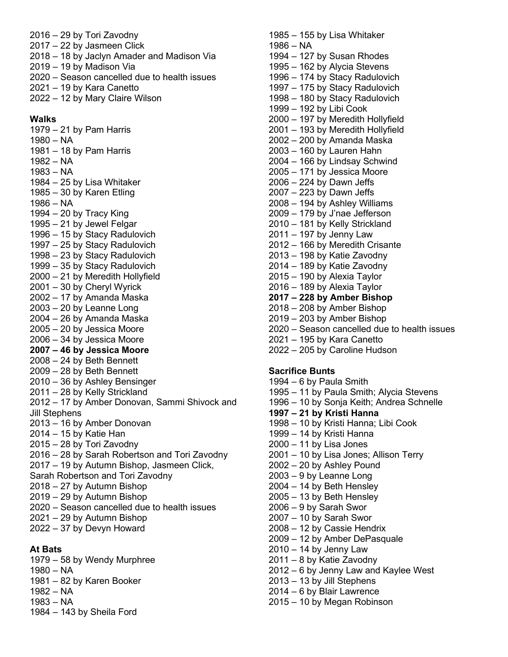- 2016 29 by Tori Zavodny 2017 – 22 by Jasmeen Click 2018 – 18 by Jaclyn Amader and Madison Via 2019 – 19 by Madison Via 2020 – Season cancelled due to health issues 2021 – 19 by Kara Canetto
- 2022 12 by Mary Claire Wilson

#### **Walks**

1979 – 21 by Pam Harris

- 1980 NA
- 1981 18 by Pam Harris
- 1982 NA
- 1983 NA
- 1984 25 by Lisa Whitaker
- 1985 30 by Karen Etling
- 1986 NA
- $1994 20$  by Tracy King
- 1995 21 by Jewel Felgar
- 1996 15 by Stacy Radulovich
- 1997 25 by Stacy Radulovich
- 1998 23 by Stacy Radulovich
- 1999 35 by Stacy Radulovich
- 2000 21 by Meredith Hollyfield
- 2001 30 by Cheryl Wyrick 2002 – 17 by Amanda Maska
- $2003 20$  by Leanne Long
- 2004 26 by Amanda Maska
- 2005 20 by Jessica Moore
- 2006 34 by Jessica Moore
- **2007 – 46 by Jessica Moore**
- 2008 24 by Beth Bennett
- 2009 28 by Beth Bennett
- 2010 36 by Ashley Bensinger
- 2011 28 by Kelly Strickland
- 2012 17 by Amber Donovan, Sammi Shivock and Jill Stephens
- 2013 16 by Amber Donovan
- 2014 15 by Katie Han
- 2015 28 by Tori Zavodny
- 2016 28 by Sarah Robertson and Tori Zavodny
- 2017 19 by Autumn Bishop, Jasmeen Click,
- Sarah Robertson and Tori Zavodny
- 2018 27 by Autumn Bishop
- 2019 29 by Autumn Bishop
- 2020 Season cancelled due to health issues
- 2021 29 by Autumn Bishop
- 2022 37 by Devyn Howard

#### **At Bats**

- 1979 58 by Wendy Murphree
- 1980 NA
- 1981 82 by Karen Booker
- 1982 NA
- 1983 NA
- 1984 143 by Sheila Ford

1985 – 155 by Lisa Whitaker 1986 – NA 1994 – 127 by Susan Rhodes 1995 – 162 by Alycia Stevens 1996 – 174 by Stacy Radulovich 1997 – 175 by Stacy Radulovich 1998 – 180 by Stacy Radulovich 1999 – 192 by Libi Cook 2000 – 197 by Meredith Hollyfield 2001 – 193 by Meredith Hollyfield 2002 – 200 by Amanda Maska 2003 – 160 by Lauren Hahn 2004 – 166 by Lindsay Schwind 2005 – 171 by Jessica Moore 2006 – 224 by Dawn Jeffs 2007 – 223 by Dawn Jeffs 2008 – 194 by Ashley Williams 2009 – 179 by J'nae Jefferson 2010 – 181 by Kelly Strickland 2011 – 197 by Jenny Law 2012 – 166 by Meredith Crisante 2013 – 198 by Katie Zavodny 2014 – 189 by Katie Zavodny 2015 – 190 by Alexia Taylor 2016 – 189 by Alexia Taylor **2017 – 228 by Amber Bishop** 2018 – 208 by Amber Bishop 2019 – 203 by Amber Bishop 2020 – Season cancelled due to health issues 2021 – 195 by Kara Canetto 2022 – 205 by Caroline Hudson **Sacrifice Bunts** 1994 – 6 by Paula Smith

1995 – 11 by Paula Smith; Alycia Stevens 1996 – 10 by Sonja Keith; Andrea Schnelle **1997 – 21 by Kristi Hanna** 1998 – 10 by Kristi Hanna; Libi Cook 1999 – 14 by Kristi Hanna 2000 – 11 by Lisa Jones 2001 – 10 by Lisa Jones; Allison Terry 2002 – 20 by Ashley Pound 2003 – 9 by Leanne Long 2004 – 14 by Beth Hensley 2005 – 13 by Beth Hensley 2006 – 9 by Sarah Swor 2007 – 10 by Sarah Swor 2008 – 12 by Cassie Hendrix 2009 – 12 by Amber DePasquale 2010 – 14 by Jenny Law 2011 – 8 by Katie Zavodny 2012 – 6 by Jenny Law and Kaylee West 2013 – 13 by Jill Stephens 2014 – 6 by Blair Lawrence 2015 – 10 by Megan Robinson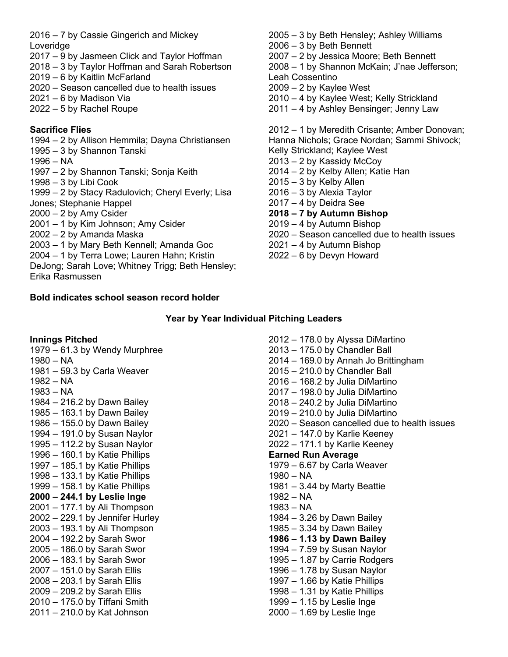2016 – 7 by Cassie Gingerich and Mickey Loveridge

- 2017 9 by Jasmeen Click and Taylor Hoffman
- 2018 3 by Taylor Hoffman and Sarah Robertson
- 2019 6 by Kaitlin McFarland
- 2020 Season cancelled due to health issues
- 2021 6 by Madison Via
- 2022 5 by Rachel Roupe

# **Sacrifice Flies**

- 1994 2 by Allison Hemmila; Dayna Christiansen
- 1995 3 by Shannon Tanski
- 1996 NA
- 1997 2 by Shannon Tanski; Sonja Keith
- 1998 3 by Libi Cook
- 1999 2 by Stacy Radulovich; Cheryl Everly; Lisa
- Jones; Stephanie Happel
- $2000 2$  by Amy Csider
- 2001 1 by Kim Johnson; Amy Csider
- 2002 2 by Amanda Maska
- 2003 1 by Mary Beth Kennell; Amanda Goc
- 2004 1 by Terra Lowe; Lauren Hahn; Kristin
- DeJong; Sarah Love; Whitney Trigg; Beth Hensley; Erika Rasmussen

# **Bold indicates school season record holder**

- 2005 3 by Beth Hensley; Ashley Williams
- 2006 3 by Beth Bennett
- 2007 2 by Jessica Moore; Beth Bennett
- 2008 1 by Shannon McKain; J'nae Jefferson;
- Leah Cossentino
- 2009 2 by Kaylee West
- 2010 4 by Kaylee West; Kelly Strickland
- 2011 4 by Ashley Bensinger; Jenny Law

2012 – 1 by Meredith Crisante; Amber Donovan; Hanna Nichols; Grace Nordan; Sammi Shivock; Kelly Strickland; Kaylee West 2013 – 2 by Kassidy McCoy 2014 – 2 by Kelby Allen; Katie Han 2015 – 3 by Kelby Allen 2016 – 3 by Alexia Taylor 2017 – 4 by Deidra See **2018 – 7 by Autumn Bishop** 2019 – 4 by Autumn Bishop

- 2020 Season cancelled due to health issues
- 2021 4 by Autumn Bishop
- 2022 6 by Devyn Howard

# **Year by Year Individual Pitching Leaders**

**Innings Pitched** 1979 – 61.3 by Wendy Murphree 1980 – NA 1981 – 59.3 by Carla Weaver 1982 – NA 1983 – NA 1984 – 216.2 by Dawn Bailey 1985 – 163.1 by Dawn Bailey 1986 – 155.0 by Dawn Bailey 1994 – 191.0 by Susan Naylor 1995 – 112.2 by Susan Naylor 1996 – 160.1 by Katie Phillips 1997 – 185.1 by Katie Phillips 1998 – 133.1 by Katie Phillips 1999 – 158.1 by Katie Phillips **2000 – 244.1 by Leslie Inge** 2001 – 177.1 by Ali Thompson 2002 – 229.1 by Jennifer Hurley 2003 – 193.1 by Ali Thompson 2004 – 192.2 by Sarah Swor 2005 – 186.0 by Sarah Swor 2006 – 183.1 by Sarah Swor 2007 – 151.0 by Sarah Ellis 2008 – 203.1 by Sarah Ellis 2009 – 209.2 by Sarah Ellis 2010 – 175.0 by Tiffani Smith 2011 – 210.0 by Kat Johnson 2012 – 178.0 by Alyssa DiMartino 2013 – 175.0 by Chandler Ball 2014 – 169.0 by Annah Jo Brittingham 2015 – 210.0 by Chandler Ball 2016 – 168.2 by Julia DiMartino 2017 – 198.0 by Julia DiMartino 2018 – 240.2 by Julia DiMartino 2019 – 210.0 by Julia DiMartino 2020 – Season cancelled due to health issues 2021 – 147.0 by Karlie Keeney 2022 – 171.1 by Karlie Keeney **Earned Run Average** 1979 – 6.67 by Carla Weaver 1980 – NA 1981 – 3.44 by Marty Beattie 1982 – NA 1983 – NA 1984 – 3.26 by Dawn Bailey 1985 – 3.34 by Dawn Bailey **1986 – 1.13 by Dawn Bailey** 1994 – 7.59 by Susan Naylor 1995 – 1.87 by Carrie Rodgers 1996 – 1.78 by Susan Naylor 1997 – 1.66 by Katie Phillips 1998 – 1.31 by Katie Phillips 1999 – 1.15 by Leslie Inge 2000 – 1.69 by Leslie Inge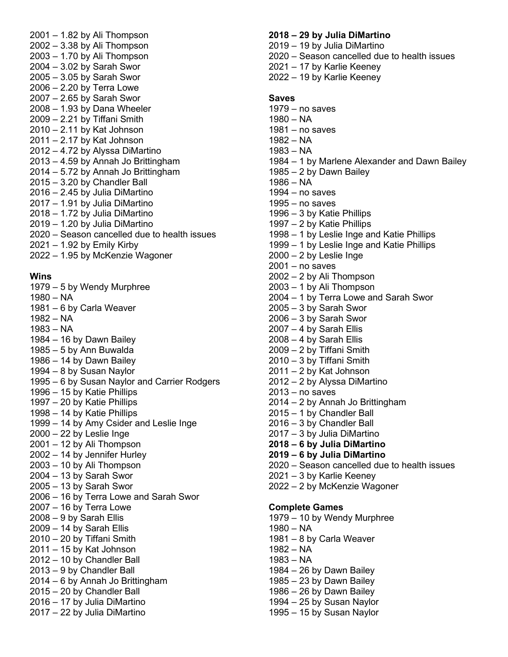2001 – 1.82 by Ali Thompson 2002 – 3.38 by Ali Thompson 2003 – 1.70 by Ali Thompson 2004 – 3.02 by Sarah Swor 2005 – 3.05 by Sarah Swor 2006 – 2.20 by Terra Lowe 2007 – 2.65 by Sarah Swor 2008 – 1.93 by Dana Wheeler 2009 – 2.21 by Tiffani Smith 2010 – 2.11 by Kat Johnson 2011 – 2.17 by Kat Johnson 2012 – 4.72 by Alyssa DiMartino 2013 – 4.59 by Annah Jo Brittingham 2014 – 5.72 by Annah Jo Brittingham 2015 – 3.20 by Chandler Ball 2016 – 2.45 by Julia DiMartino 2017 – 1.91 by Julia DiMartino 2018 – 1.72 by Julia DiMartino 2019 – 1.20 by Julia DiMartino 2020 – Season cancelled due to health issues 2021 – 1.92 by Emily Kirby 2022 – 1.95 by McKenzie Wagoner

# **Wins**

- 1979 5 by Wendy Murphree
- 1980 NA
- 1981 6 by Carla Weaver
- 1982 NA
- 1983 NA
- $1984 16$  by Dawn Bailey
- 1985 5 by Ann Buwalda
- $1986 14$  by Dawn Bailey
- 1994 8 by Susan Naylor
- 1995 6 by Susan Naylor and Carrier Rodgers
- 1996 15 by Katie Phillips
- 1997 20 by Katie Phillips
- 1998 14 by Katie Phillips
- 1999 14 by Amy Csider and Leslie Inge
- $2000 22$  by Leslie Inge
- 2001 12 by Ali Thompson
- 2002 14 by Jennifer Hurley
- 2003 10 by Ali Thompson
- 2004 13 by Sarah Swor
- 2005 13 by Sarah Swor
- 2006 16 by Terra Lowe and Sarah Swor
- 2007 16 by Terra Lowe
- 2008 9 by Sarah Ellis
- 2009 14 by Sarah Ellis
- 2010 20 by Tiffani Smith
- 2011 15 by Kat Johnson
- 2012 10 by Chandler Ball
- 2013 9 by Chandler Ball
- 2014 6 by Annah Jo Brittingham
- 2015 20 by Chandler Ball
- 2016 17 by Julia DiMartino
- 2017 22 by Julia DiMartino

#### **2018 – 29 by Julia DiMartino**

- 2019 19 by Julia DiMartino
- 2020 Season cancelled due to health issues
- 2021 17 by Karlie Keeney
- 2022 19 by Karlie Keeney

#### **Saves**

- 1979 no saves 1980 – NA 1981 – no saves 1982 – NA 1983 – NA 1984 – 1 by Marlene Alexander and Dawn Bailey 1985 – 2 by Dawn Bailey 1986 – NA 1994 – no saves 1995 – no saves 1996 – 3 by Katie Phillips 1997 – 2 by Katie Phillips 1998 – 1 by Leslie Inge and Katie Phillips 1999 – 1 by Leslie Inge and Katie Phillips  $2000 - 2$  by Leslie Inge 2001 – no saves 2002 – 2 by Ali Thompson 2003 – 1 by Ali Thompson 2004 – 1 by Terra Lowe and Sarah Swor 2005 – 3 by Sarah Swor 2006 – 3 by Sarah Swor 2007 – 4 by Sarah Ellis  $2008 - 4$  by Sarah Ellis 2009 – 2 by Tiffani Smith 2010 – 3 by Tiffani Smith 2011 – 2 by Kat Johnson 2012 – 2 by Alyssa DiMartino 2013 – no saves 2014 – 2 by Annah Jo Brittingham 2015 – 1 by Chandler Ball 2016 – 3 by Chandler Ball 2017 – 3 by Julia DiMartino **2018 – 6 by Julia DiMartino 2019 – 6 by Julia DiMartino** 2020 – Season cancelled due to health issues 2021 – 3 by Karlie Keeney 2022 – 2 by McKenzie Wagoner 1981 – 8 by Carla Weaver 1982 – NA 1983 – NA 1984 – 26 by Dawn Bailey  $1985 - 23$  by Dawn Bailey
- $1986 26$  by Dawn Bailey
- 1994 25 by Susan Naylor
- 1995 15 by Susan Naylor

#### **Complete Games**

- 1979 10 by Wendy Murphree
- 1980 NA
- 
-